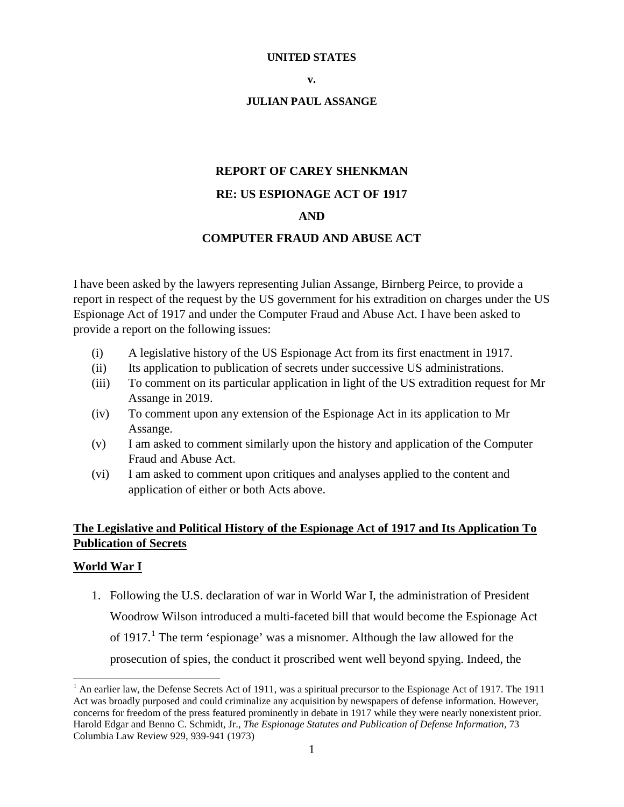#### **UNITED STATES**

#### **JULIAN PAUL ASSANGE**

# **REPORT OF CAREY SHENKMAN RE: US ESPIONAGE ACT OF 1917 AND**

## **COMPUTER FRAUD AND ABUSE ACT**

I have been asked by the lawyers representing Julian Assange, Birnberg Peirce, to provide a report in respect of the request by the US government for his extradition on charges under the US Espionage Act of 1917 and under the Computer Fraud and Abuse Act. I have been asked to provide a report on the following issues:

- (i) A legislative history of the US Espionage Act from its first enactment in 1917.
- (ii) Its application to publication of secrets under successive US administrations.
- (iii) To comment on its particular application in light of the US extradition request for Mr Assange in 2019.
- (iv) To comment upon any extension of the Espionage Act in its application to Mr Assange.
- (v) I am asked to comment similarly upon the history and application of the Computer Fraud and Abuse Act.
- (vi) I am asked to comment upon critiques and analyses applied to the content and application of either or both Acts above.

# **The Legislative and Political History of the Espionage Act of 1917 and Its Application To Publication of Secrets**

#### **World War I**

1. Following the U.S. declaration of war in World War I, the administration of President Woodrow Wilson introduced a multi-faceted bill that would become the Espionage Act of  $1917<sup>1</sup>$  $1917<sup>1</sup>$ . The term 'espionage' was a misnomer. Although the law allowed for the prosecution of spies, the conduct it proscribed went well beyond spying. Indeed, the

<span id="page-0-0"></span> $1$  An earlier law, the Defense Secrets Act of 1911, was a spiritual precursor to the Espionage Act of 1917. The 1911 Act was broadly purposed and could criminalize any acquisition by newspapers of defense information. However, concerns for freedom of the press featured prominently in debate in 1917 while they were nearly nonexistent prior. Harold Edgar and Benno C. Schmidt, Jr., *The Espionage Statutes and Publication of Defense Information*, 73 Columbia Law Review 929, 939-941 (1973)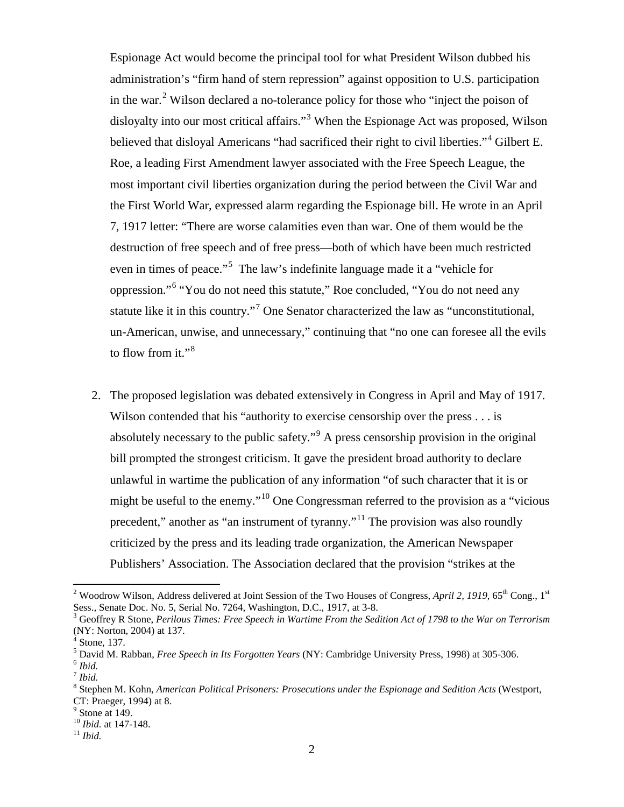Espionage Act would become the principal tool for what President Wilson dubbed his administration's "firm hand of stern repression" against opposition to U.S. participation in the war.<sup>[2](#page-1-0)</sup> Wilson declared a no-tolerance policy for those who "inject the poison of disloyalty into our most critical affairs."<sup>[3](#page-1-1)</sup> When the Espionage Act was proposed, Wilson believed that disloyal Americans "had sacrificed their right to civil liberties."<sup>[4](#page-1-2)</sup> Gilbert E. Roe, a leading First Amendment lawyer associated with the Free Speech League, the most important civil liberties organization during the period between the Civil War and the First World War, expressed alarm regarding the Espionage bill. He wrote in an April 7, 1917 letter: "There are worse calamities even than war. One of them would be the destruction of free speech and of free press—both of which have been much restricted even in times of peace."<sup>[5](#page-1-3)</sup> The law's indefinite language made it a "vehicle for oppression."[6](#page-1-4) "You do not need this statute," Roe concluded, "You do not need any statute like it in this country."<sup>[7](#page-1-5)</sup> One Senator characterized the law as "unconstitutional, un-American, unwise, and unnecessary," continuing that "no one can foresee all the evils to flow from it."<sup>[8](#page-1-6)</sup>

2. The proposed legislation was debated extensively in Congress in April and May of 1917. Wilson contended that his "authority to exercise censorship over the press . . . is absolutely necessary to the public safety."[9](#page-1-7) A press censorship provision in the original bill prompted the strongest criticism. It gave the president broad authority to declare unlawful in wartime the publication of any information "of such character that it is or might be useful to the enemy."[10](#page-1-8) One Congressman referred to the provision as a "vicious precedent," another as "an instrument of tyranny."[11](#page-1-9) The provision was also roundly criticized by the press and its leading trade organization, the American Newspaper Publishers' Association. The Association declared that the provision "strikes at the

<span id="page-1-0"></span><sup>&</sup>lt;sup>2</sup> Woodrow Wilson, Address delivered at Joint Session of the Two Houses of Congress, *April 2, 1919*, 65<sup>th</sup> Cong., 1<sup>st</sup> Sess., Senate Doc. No. 5, Serial No. 7264, Washington, D.C., 1917, at 3-8.<br><sup>3</sup> Geoffrey R Stone, *Perilous Times: Free Speech in Wartime From the Sedition Act of 1798 to the War on Terrorism* 

<span id="page-1-1"></span><sup>(</sup>NY: Norton, 2004) at 137.

Stone, 137.

<span id="page-1-3"></span><span id="page-1-2"></span><sup>5</sup> David M. Rabban, *Free Speech in Its Forgotten Years* (NY: Cambridge University Press, 1998) at 305-306. <sup>6</sup> *Ibid.*

<span id="page-1-5"></span><span id="page-1-4"></span><sup>7</sup> *Ibid.*

<span id="page-1-6"></span><sup>8</sup> Stephen M. Kohn, *American Political Prisoners: Prosecutions under the Espionage and Sedition Acts* (Westport, CT: Praeger, 1994) at 8.

 $<sup>9</sup>$  Stone at 149.</sup>

<span id="page-1-9"></span><span id="page-1-8"></span><span id="page-1-7"></span><sup>10</sup> *Ibid.* at 147-148. <sup>11</sup> *Ibid.*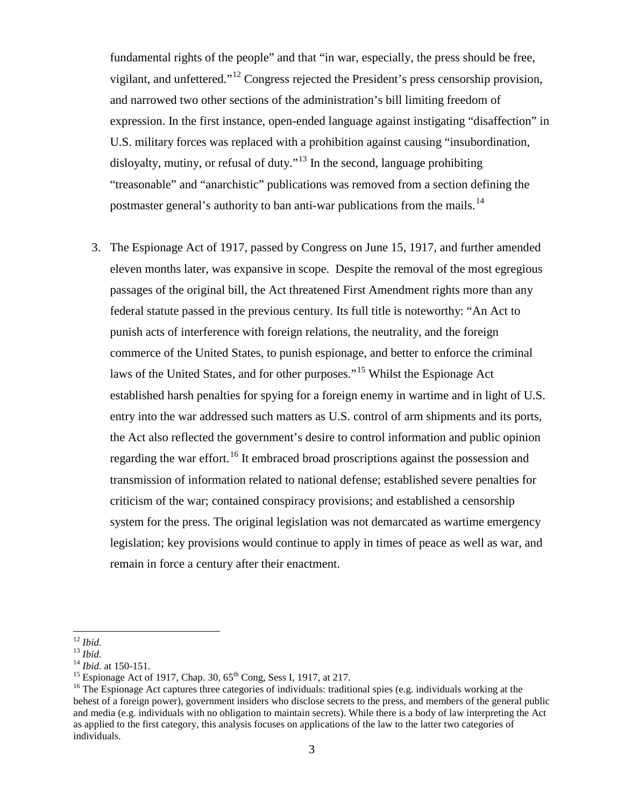fundamental rights of the people" and that "in war, especially, the press should be free, vigilant, and unfettered."<sup>[12](#page-2-0)</sup> Congress rejected the President's press censorship provision, and narrowed two other sections of the administration's bill limiting freedom of expression. In the first instance, open-ended language against instigating "disaffection" in U.S. military forces was replaced with a prohibition against causing "insubordination, disloyalty, mutiny, or refusal of duty."<sup>[13](#page-2-1)</sup> In the second, language prohibiting "treasonable" and "anarchistic" publications was removed from a section defining the postmaster general's authority to ban anti-war publications from the mails.<sup>[14](#page-2-2)</sup>

3. The Espionage Act of 1917, passed by Congress on June 15, 1917, and further amended eleven months later, was expansive in scope. Despite the removal of the most egregious passages of the original bill, the Act threatened First Amendment rights more than any federal statute passed in the previous century. Its full title is noteworthy: "An Act to punish acts of interference with foreign relations, the neutrality, and the foreign commerce of the United States, to punish espionage, and better to enforce the criminal laws of the United States, and for other purposes."<sup>[15](#page-2-3)</sup> Whilst the Espionage Act established harsh penalties for spying for a foreign enemy in wartime and in light of U.S. entry into the war addressed such matters as U.S. control of arm shipments and its ports, the Act also reflected the government's desire to control information and public opinion regarding the war effort.<sup>[16](#page-2-4)</sup> It embraced broad proscriptions against the possession and transmission of information related to national defense; established severe penalties for criticism of the war; contained conspiracy provisions; and established a censorship system for the press. The original legislation was not demarcated as wartime emergency legislation; key provisions would continue to apply in times of peace as well as war, and remain in force a century after their enactment.

<span id="page-2-2"></span>

<span id="page-2-4"></span><span id="page-2-3"></span>

<span id="page-2-1"></span><span id="page-2-0"></span><sup>&</sup>lt;sup>12</sup> *Ibid.*<br><sup>13</sup> *Ibid.*<br><sup>14</sup> *Ibid.* at 150-151.<br><sup>15</sup> Espionage Act of 1917, Chap. 30, 65<sup>th</sup> Cong, Sess I, 1917, at 217.<br><sup>15</sup> The Espionage Act captures three categories of individuals: traditional spies (e.g. individu behest of a foreign power), government insiders who disclose secrets to the press, and members of the general public and media (e.g. individuals with no obligation to maintain secrets). While there is a body of law interpreting the Act as applied to the first category, this analysis focuses on applications of the law to the latter two categories of individuals.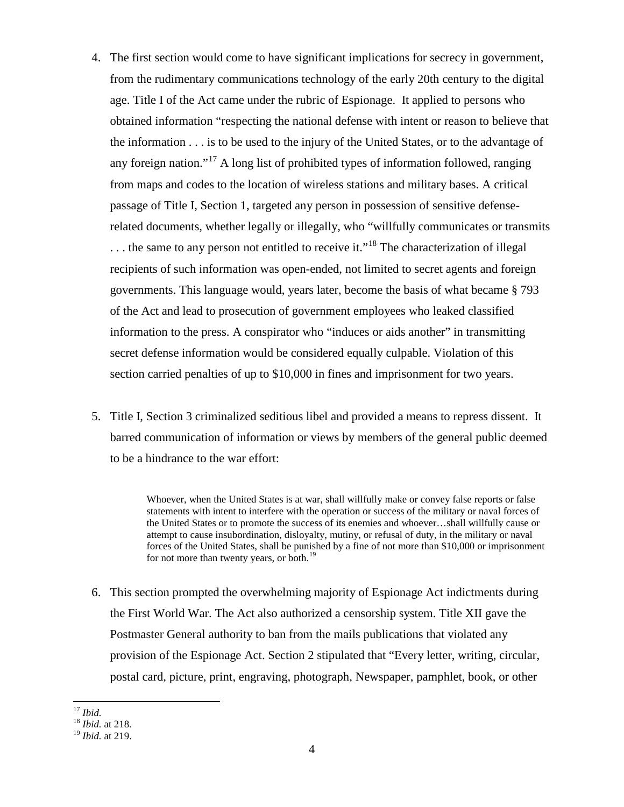- 4. The first section would come to have significant implications for secrecy in government, from the rudimentary communications technology of the early 20th century to the digital age. Title I of the Act came under the rubric of Espionage. It applied to persons who obtained information "respecting the national defense with intent or reason to believe that the information . . . is to be used to the injury of the United States, or to the advantage of any foreign nation."<sup>[17](#page-3-0)</sup> A long list of prohibited types of information followed, ranging from maps and codes to the location of wireless stations and military bases. A critical passage of Title I, Section 1, targeted any person in possession of sensitive defenserelated documents, whether legally or illegally, who "willfully communicates or transmits  $\dots$  the same to any person not entitled to receive it."<sup>[18](#page-3-1)</sup> The characterization of illegal recipients of such information was open-ended, not limited to secret agents and foreign governments. This language would, years later, become the basis of what became § 793 of the Act and lead to prosecution of government employees who leaked classified information to the press. A conspirator who "induces or aids another" in transmitting secret defense information would be considered equally culpable. Violation of this section carried penalties of up to \$10,000 in fines and imprisonment for two years.
- 5. Title I, Section 3 criminalized seditious libel and provided a means to repress dissent. It barred communication of information or views by members of the general public deemed to be a hindrance to the war effort:

Whoever, when the United States is at war, shall willfully make or convey false reports or false statements with intent to interfere with the operation or success of the military or naval forces of the United States or to promote the success of its enemies and whoever…shall willfully cause or attempt to cause insubordination, disloyalty, mutiny, or refusal of duty, in the military or naval forces of the United States, shall be punished by a fine of not more than \$10,000 or imprisonment for not more than twenty years, or both.<sup>[19](#page-3-2)</sup>

6. This section prompted the overwhelming majority of Espionage Act indictments during the First World War. The Act also authorized a censorship system. Title XII gave the Postmaster General authority to ban from the mails publications that violated any provision of the Espionage Act. Section 2 stipulated that "Every letter, writing, circular, postal card, picture, print, engraving, photograph, Newspaper, pamphlet, book, or other

<span id="page-3-1"></span><span id="page-3-0"></span><sup>17</sup> *Ibid.* <sup>18</sup> *Ibid.* at 218.

<span id="page-3-2"></span><sup>19</sup> *Ibid.* at 219.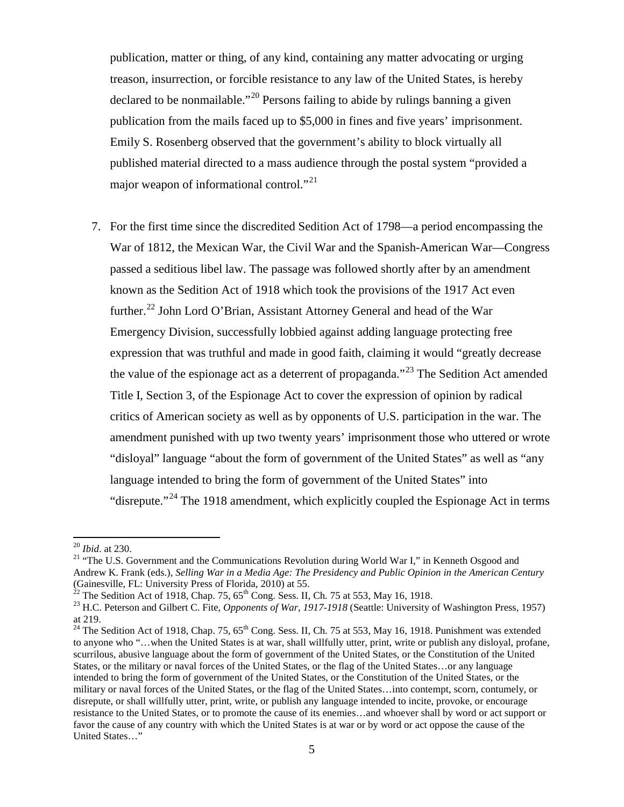publication, matter or thing, of any kind, containing any matter advocating or urging treason, insurrection, or forcible resistance to any law of the United States, is hereby declared to be nonmailable."[20](#page-4-0) Persons failing to abide by rulings banning a given publication from the mails faced up to \$5,000 in fines and five years' imprisonment. Emily S. Rosenberg observed that the government's ability to block virtually all published material directed to a mass audience through the postal system "provided a major weapon of informational control."<sup>[21](#page-4-1)</sup>

7. For the first time since the discredited Sedition Act of 1798—a period encompassing the War of 1812, the Mexican War, the Civil War and the Spanish-American War—Congress passed a seditious libel law. The passage was followed shortly after by an amendment known as the Sedition Act of 1918 which took the provisions of the 1917 Act even further.<sup>[22](#page-4-2)</sup> John Lord O'Brian, Assistant Attorney General and head of the War Emergency Division, successfully lobbied against adding language protecting free expression that was truthful and made in good faith, claiming it would "greatly decrease the value of the espionage act as a deterrent of propaganda."<sup>[23](#page-4-3)</sup> The Sedition Act amended Title I, Section 3, of the Espionage Act to cover the expression of opinion by radical critics of American society as well as by opponents of U.S. participation in the war. The amendment punished with up two twenty years' imprisonment those who uttered or wrote "disloyal" language "about the form of government of the United States" as well as "any language intended to bring the form of government of the United States" into "disrepute."<sup>[24](#page-4-4)</sup> The 1918 amendment, which explicitly coupled the Espionage Act in terms

<span id="page-4-1"></span><span id="page-4-0"></span><sup>&</sup>lt;sup>20</sup> *Ibid.* at 230.<br><sup>21</sup> "The U.S. Government and the Communications Revolution during World War I," in Kenneth Osgood and Andrew K. Frank (eds.), *Selling War in a Media Age: The Presidency and Public Opinion in the American Century* 

<span id="page-4-3"></span><span id="page-4-2"></span><sup>&</sup>lt;sup>22</sup> The Sedition Act of 1918, Chap. 75, 65<sup>th</sup> Cong. Sess. II, Ch. 75 at 553, May 16, 1918.<br><sup>23</sup> H.C. Peterson and Gilbert C. Fite, *Opponents of War*, 1917-1918 (Seattle: University of Washington Press, 1957) at 219.

<span id="page-4-4"></span><sup>&</sup>lt;sup>24</sup> The Sedition Act of 1918, Chap. 75,  $65^{th}$  Cong. Sess. II, Ch. 75 at 553, May 16, 1918. Punishment was extended to anyone who "…when the United States is at war, shall willfully utter, print, write or publish any disloyal, profane, scurrilous, abusive language about the form of government of the United States, or the Constitution of the United States, or the military or naval forces of the United States, or the flag of the United States…or any language intended to bring the form of government of the United States, or the Constitution of the United States, or the military or naval forces of the United States, or the flag of the United States…into contempt, scorn, contumely, or disrepute, or shall willfully utter, print, write, or publish any language intended to incite, provoke, or encourage resistance to the United States, or to promote the cause of its enemies…and whoever shall by word or act support or favor the cause of any country with which the United States is at war or by word or act oppose the cause of the United States…"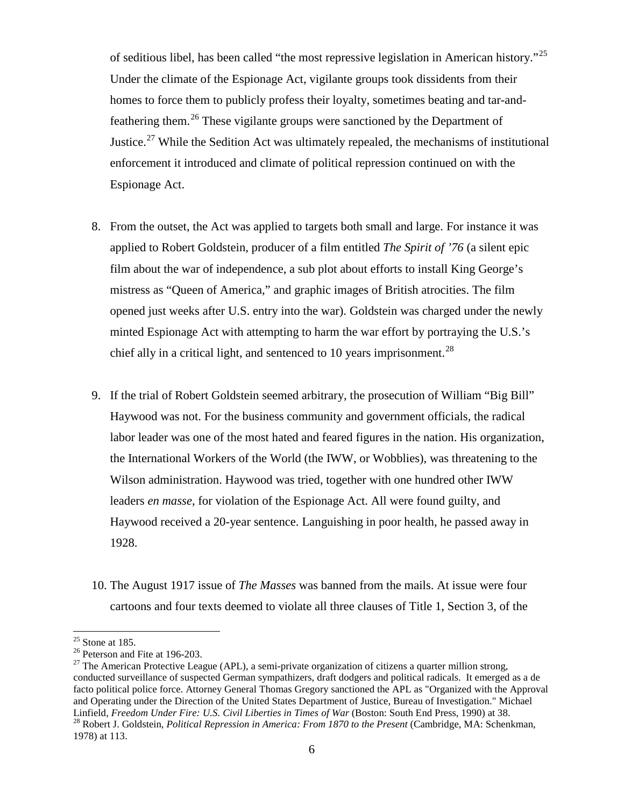of seditious libel, has been called "the most repressive legislation in American history."<sup>[25](#page-5-0)</sup> Under the climate of the Espionage Act, vigilante groups took dissidents from their homes to force them to publicly profess their loyalty, sometimes beating and tar-andfeathering them.[26](#page-5-1) These vigilante groups were sanctioned by the Department of Justice.<sup>[27](#page-5-2)</sup> While the Sedition Act was ultimately repealed, the mechanisms of institutional enforcement it introduced and climate of political repression continued on with the Espionage Act.

- 8. From the outset, the Act was applied to targets both small and large. For instance it was applied to Robert Goldstein, producer of a film entitled *The Spirit of '76* (a silent epic film about the war of independence, a sub plot about efforts to install King George's mistress as "Queen of America," and graphic images of British atrocities. The film opened just weeks after U.S. entry into the war). Goldstein was charged under the newly minted Espionage Act with attempting to harm the war effort by portraying the U.S.'s chief ally in a critical light, and sentenced to 10 years imprisonment.<sup>28</sup>
- 9. If the trial of Robert Goldstein seemed arbitrary, the prosecution of William "Big Bill" Haywood was not. For the business community and government officials, the radical labor leader was one of the most hated and feared figures in the nation. His organization, the International Workers of the World (the IWW, or Wobblies), was threatening to the Wilson administration. Haywood was tried, together with one hundred other IWW leaders *en masse*, for violation of the Espionage Act. All were found guilty, and Haywood received a 20-year sentence. Languishing in poor health, he passed away in 1928.
- 10. The August 1917 issue of *The Masses* was banned from the mails. At issue were four cartoons and four texts deemed to violate all three clauses of Title 1, Section 3, of the

<span id="page-5-2"></span>

<span id="page-5-1"></span><span id="page-5-0"></span><sup>&</sup>lt;sup>25</sup> Stone at 185.<br><sup>26</sup> Peterson and Fite at 196-203.<br><sup>27</sup> The American Protective League (APL), a semi-private organization of citizens a quarter million strong, conducted surveillance of suspected German sympathizers, draft dodgers and political radicals. It emerged as a de facto political police force. Attorney General Thomas Gregory sanctioned the APL as "Organized with the Approval and Operating under the Direction of the United States Department of Justice, Bureau of Investigation." Michael Linfield, *Freedom Under Fire: U.S. Civil Liberties in Times of War* (Boston: South End Press, 1990) at 38. <sup>28</sup> Robert J. Goldstein, *Political Repression in America: From 1870 to the Present* (Cambridge, MA: Schenkman,

<span id="page-5-3"></span><sup>1978)</sup> at 113.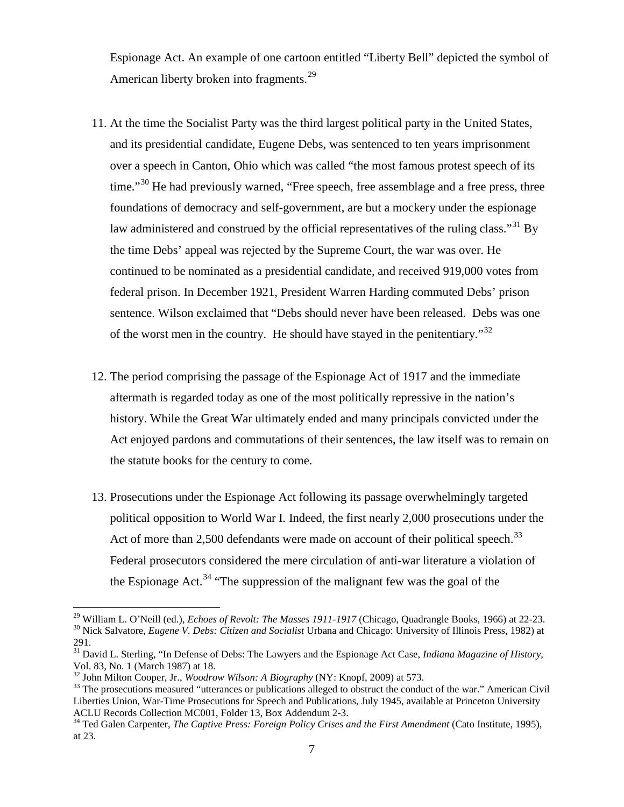Espionage Act. An example of one cartoon entitled "Liberty Bell" depicted the symbol of American liberty broken into fragments.<sup>[29](#page-6-0)</sup>

- 11. At the time the Socialist Party was the third largest political party in the United States, and its presidential candidate, Eugene Debs, was sentenced to ten years imprisonment over a speech in Canton, Ohio which was called "the most famous protest speech of its time."<sup>[30](#page-6-1)</sup> He had previously warned, "Free speech, free assemblage and a free press, three foundations of democracy and self-government, are but a mockery under the espionage law administered and construed by the official representatives of the ruling class."<sup>[31](#page-6-2)</sup> By the time Debs' appeal was rejected by the Supreme Court, the war was over. He continued to be nominated as a presidential candidate, and received 919,000 votes from federal prison. In December 1921, President Warren Harding commuted Debs' prison sentence. Wilson exclaimed that "Debs should never have been released. Debs was one of the worst men in the country. He should have stayed in the penitentiary."[32](#page-6-3)
- 12. The period comprising the passage of the Espionage Act of 1917 and the immediate aftermath is regarded today as one of the most politically repressive in the nation's history. While the Great War ultimately ended and many principals convicted under the Act enjoyed pardons and commutations of their sentences, the law itself was to remain on the statute books for the century to come.
- 13. Prosecutions under the Espionage Act following its passage overwhelmingly targeted political opposition to World War I. Indeed, the first nearly 2,000 prosecutions under the Act of more than 2,500 defendants were made on account of their political speech.<sup>[33](#page-6-4)</sup> Federal prosecutors considered the mere circulation of anti-war literature a violation of the Espionage Act.<sup>[34](#page-6-5)</sup> "The suppression of the malignant few was the goal of the

<sup>&</sup>lt;sup>29</sup> William L. O'Neill (ed.), *Echoes of Revolt: The Masses 1911-1917* (Chicago, Quadrangle Books, 1966) at 22-23.<br><sup>30</sup> Nick Salvatore, *Eugene V. Debs: Citizen and Socialist* Urbana and Chicago: University of Illinois P

<span id="page-6-2"></span><span id="page-6-1"></span><span id="page-6-0"></span><sup>291.</sup>

<sup>&</sup>lt;sup>31</sup> David L. Sterling, "In Defense of Debs: The Lawyers and the Espionage Act Case, *Indiana Magazine of History*,

Vol. 83, No. 1 (March 1987) at 18.<br><sup>32</sup> John Milton Cooper, Jr., *Woodrow Wilson: A Biography* (NY: Knopf, 2009) at 573.

<span id="page-6-4"></span><span id="page-6-3"></span><sup>&</sup>lt;sup>33</sup> The prosecutions measured "utterances or publications alleged to obstruct the conduct of the war." American Civil Liberties Union, War-Time Prosecutions for Speech and Publications, July 1945, available at Princeton University ACLU Records Collection MC001, Folder 13, Box Addendum 2-3.

<span id="page-6-5"></span>Acception Collection Collection Mc<sub>34</sub> Ted Galen Carpenter, The Captive Press: Foreign Policy Crises and the First Amendment (Cato Institute, 1995), at 23.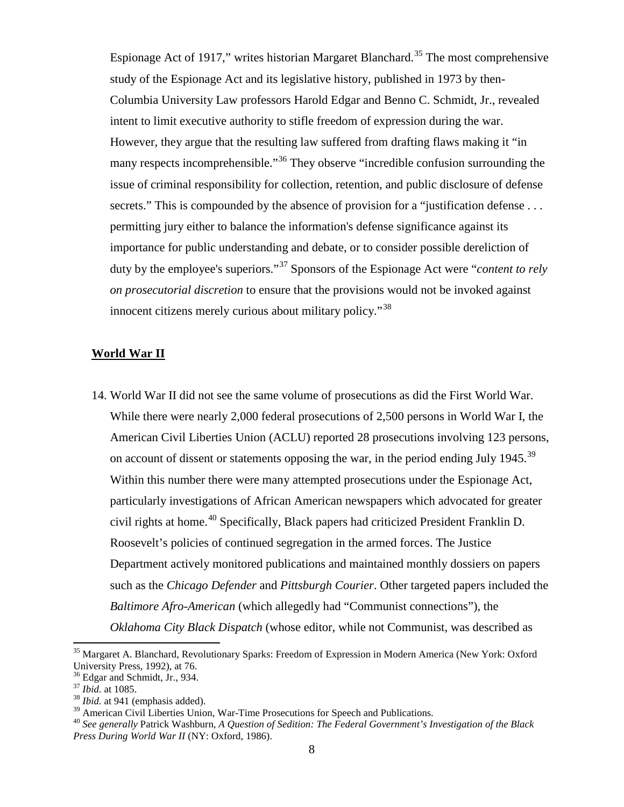Espionage Act of 1917," writes historian Margaret Blanchard.<sup>[35](#page-7-0)</sup> The most comprehensive study of the Espionage Act and its legislative history, published in 1973 by then-Columbia University Law professors Harold Edgar and Benno C. Schmidt, Jr., revealed intent to limit executive authority to stifle freedom of expression during the war. However, they argue that the resulting law suffered from drafting flaws making it "in many respects incomprehensible."<sup>[36](#page-7-1)</sup> They observe "incredible confusion surrounding the issue of criminal responsibility for collection, retention, and public disclosure of defense secrets." This is compounded by the absence of provision for a "justification defense ... permitting jury either to balance the information's defense significance against its importance for public understanding and debate, or to consider possible dereliction of duty by the employee's superiors."[37](#page-7-2) Sponsors of the Espionage Act were "*content to rely on prosecutorial discretion* to ensure that the provisions would not be invoked against innocent citizens merely curious about military policy."[38](#page-7-3)

#### **World War II**

14. World War II did not see the same volume of prosecutions as did the First World War. While there were nearly 2,000 federal prosecutions of 2,500 persons in World War I, the American Civil Liberties Union (ACLU) reported 28 prosecutions involving 123 persons, on account of dissent or statements opposing the war, in the period ending July 1945.<sup>[39](#page-7-4)</sup> Within this number there were many attempted prosecutions under the Espionage Act, particularly investigations of African American newspapers which advocated for greater civil rights at home.<sup>[40](#page-7-5)</sup> Specifically, Black papers had criticized President Franklin D. Roosevelt's policies of continued segregation in the armed forces. The Justice Department actively monitored publications and maintained monthly dossiers on papers such as the *Chicago Defender* and *Pittsburgh Courier*. Other targeted papers included the *Baltimore Afro-American* (which allegedly had "Communist connections")*,* the *Oklahoma City Black Dispatch* (whose editor, while not Communist, was described as

<span id="page-7-0"></span><sup>&</sup>lt;sup>35</sup> Margaret A. Blanchard, Revolutionary Sparks: Freedom of Expression in Modern America (New York: Oxford University Press, 1992), at 76.<br><sup>36</sup> Edgar and Schmidt, Jr., 934.

<span id="page-7-3"></span>

<span id="page-7-2"></span><span id="page-7-1"></span><sup>&</sup>lt;sup>37</sup> Ibid. at 1085.<br><sup>38</sup> Ibid. at 941 (emphasis added).<br><sup>39</sup> American Civil Liberties Union, War-Time Prosecutions for Speech and Publications.

<span id="page-7-5"></span><span id="page-7-4"></span><sup>&</sup>lt;sup>40</sup> See generally Patrick Washburn, *A Question of Sedition: The Federal Government's Investigation of the Black Press During World War II* (NY: Oxford, 1986).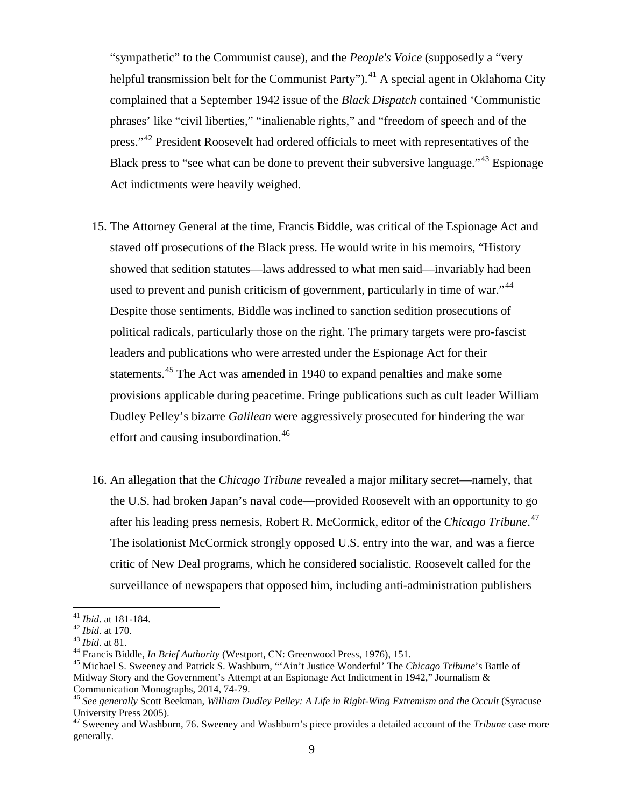"sympathetic" to the Communist cause), and the *People's Voice* (supposedly a "very helpful transmission belt for the Communist Party").<sup>[41](#page-8-0)</sup> A special agent in Oklahoma City complained that a September 1942 issue of the *Black Dispatch* contained 'Communistic phrases' like "civil liberties," "inalienable rights," and "freedom of speech and of the press."<sup>[42](#page-8-1)</sup> President Roosevelt had ordered officials to meet with representatives of the Black press to "see what can be done to prevent their subversive language."<sup>[43](#page-8-2)</sup> Espionage Act indictments were heavily weighed.

- 15. The Attorney General at the time, Francis Biddle, was critical of the Espionage Act and staved off prosecutions of the Black press. He would write in his memoirs, "History showed that sedition statutes—laws addressed to what men said—invariably had been used to prevent and punish criticism of government, particularly in time of war."<sup>[44](#page-8-3)</sup> Despite those sentiments, Biddle was inclined to sanction sedition prosecutions of political radicals, particularly those on the right. The primary targets were pro-fascist leaders and publications who were arrested under the Espionage Act for their statements.<sup>[45](#page-8-4)</sup> The Act was amended in 1940 to expand penalties and make some provisions applicable during peacetime. Fringe publications such as cult leader William Dudley Pelley's bizarre *Galilean* were aggressively prosecuted for hindering the war effort and causing insubordination.<sup>[46](#page-8-5)</sup>
- 16. An allegation that the *Chicago Tribune* revealed a major military secret—namely, that the U.S. had broken Japan's naval code—provided Roosevelt with an opportunity to go after his leading press nemesis, Robert R. McCormick, editor of the *Chicago Tribune*. [47](#page-8-6) The isolationist McCormick strongly opposed U.S. entry into the war, and was a fierce critic of New Deal programs, which he considered socialistic. Roosevelt called for the surveillance of newspapers that opposed him, including anti-administration publishers

<span id="page-8-3"></span><span id="page-8-2"></span>

<span id="page-8-4"></span>

<span id="page-8-1"></span><span id="page-8-0"></span><sup>&</sup>lt;sup>41</sup> *Ibid.* at 181-184.<br><sup>42</sup> *Ibid.* at 170.<br><sup>43</sup> *Ibid.* at 81.<br><sup>44</sup> Francis Biddle, *In Brief Authority* (Westport, CN: Greenwood Press, 1976), 151.<br><sup>45</sup> Michael S. Sweeney and Patrick S. Washburn, ""Ain't Justice Wonde Midway Story and the Government's Attempt at an Espionage Act Indictment in 1942," Journalism &

<span id="page-8-5"></span><sup>&</sup>lt;sup>46</sup> See generally Scott Beekman, *William Dudley Pelley: A Life in Right-Wing Extremism and the Occult* (Syracuse University Press 2005).

<span id="page-8-6"></span><sup>47</sup> Sweeney and Washburn, 76. Sweeney and Washburn's piece provides a detailed account of the *Tribune* case more generally.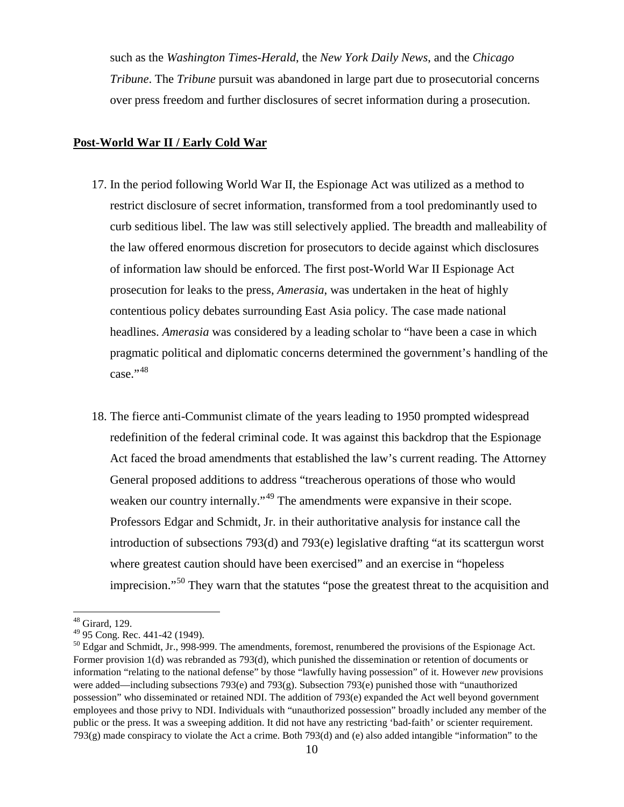such as the *Washington Times-Herald*, the *New York Daily News*, and the *Chicago Tribune*. The *Tribune* pursuit was abandoned in large part due to prosecutorial concerns over press freedom and further disclosures of secret information during a prosecution.

#### **Post-World War II / Early Cold War**

- 17. In the period following World War II, the Espionage Act was utilized as a method to restrict disclosure of secret information, transformed from a tool predominantly used to curb seditious libel. The law was still selectively applied. The breadth and malleability of the law offered enormous discretion for prosecutors to decide against which disclosures of information law should be enforced. The first post-World War II Espionage Act prosecution for leaks to the press, *Amerasia*, was undertaken in the heat of highly contentious policy debates surrounding East Asia policy. The case made national headlines. *Amerasia* was considered by a leading scholar to "have been a case in which pragmatic political and diplomatic concerns determined the government's handling of the  $case.$ <sup> $,48$  $,48$ </sup>
- 18. The fierce anti-Communist climate of the years leading to 1950 prompted widespread redefinition of the federal criminal code. It was against this backdrop that the Espionage Act faced the broad amendments that established the law's current reading. The Attorney General proposed additions to address "treacherous operations of those who would weaken our country internally."<sup>[49](#page-9-1)</sup> The amendments were expansive in their scope. Professors Edgar and Schmidt, Jr. in their authoritative analysis for instance call the introduction of subsections 793(d) and 793(e) legislative drafting "at its scattergun worst where greatest caution should have been exercised" and an exercise in "hopeless" imprecision."<sup>[50](#page-9-2)</sup> They warn that the statutes "pose the greatest threat to the acquisition and

<span id="page-9-0"></span> $^{48}$  Girard, 129.<br> $^{49}$  95 Cong. Rec. 441-42 (1949).

<span id="page-9-2"></span><span id="page-9-1"></span> $50$  Edgar and Schmidt, Jr., 998-999. The amendments, foremost, renumbered the provisions of the Espionage Act. Former provision 1(d) was rebranded as 793(d), which punished the dissemination or retention of documents or information "relating to the national defense" by those "lawfully having possession" of it. However *new* provisions were added—including subsections 793(e) and 793(g). Subsection 793(e) punished those with "unauthorized possession" who disseminated or retained NDI. The addition of 793(e) expanded the Act well beyond government employees and those privy to NDI. Individuals with "unauthorized possession" broadly included any member of the public or the press. It was a sweeping addition. It did not have any restricting 'bad-faith' or scienter requirement. 793(g) made conspiracy to violate the Act a crime. Both 793(d) and (e) also added intangible "information" to the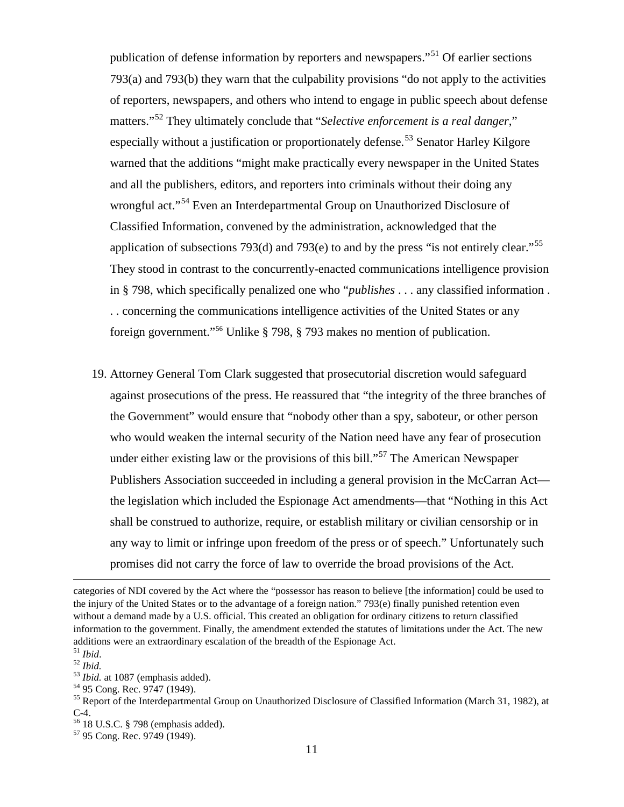publication of defense information by reporters and newspapers."[51](#page-10-0) Of earlier sections 793(a) and 793(b) they warn that the culpability provisions "do not apply to the activities of reporters, newspapers, and others who intend to engage in public speech about defense matters."[52](#page-10-1) They ultimately conclude that "*Selective enforcement is a real danger*," especially without a justification or proportionately defense.<sup>[53](#page-10-2)</sup> Senator Harley Kilgore warned that the additions "might make practically every newspaper in the United States and all the publishers, editors, and reporters into criminals without their doing any wrongful act."<sup>[54](#page-10-3)</sup> Even an Interdepartmental Group on Unauthorized Disclosure of Classified Information, convened by the administration, acknowledged that the application of subsections 793(d) and 793(e) to and by the press "is not entirely clear."<sup>[55](#page-10-4)</sup> They stood in contrast to the concurrently-enacted communications intelligence provision in § 798, which specifically penalized one who "*publishes* . . . any classified information . . . concerning the communications intelligence activities of the United States or any foreign government."[56](#page-10-5) Unlike § 798, § 793 makes no mention of publication.

19. Attorney General Tom Clark suggested that prosecutorial discretion would safeguard against prosecutions of the press. He reassured that "the integrity of the three branches of the Government" would ensure that "nobody other than a spy, saboteur, or other person who would weaken the internal security of the Nation need have any fear of prosecution under either existing law or the provisions of this bill."<sup>[57](#page-10-6)</sup> The American Newspaper Publishers Association succeeded in including a general provision in the McCarran Act the legislation which included the Espionage Act amendments—that "Nothing in this Act shall be construed to authorize, require, or establish military or civilian censorship or in any way to limit or infringe upon freedom of the press or of speech." Unfortunately such promises did not carry the force of law to override the broad provisions of the Act.

l

categories of NDI covered by the Act where the "possessor has reason to believe [the information] could be used to the injury of the United States or to the advantage of a foreign nation." 793(e) finally punished retention even without a demand made by a U.S. official. This created an obligation for ordinary citizens to return classified information to the government. Finally, the amendment extended the statutes of limitations under the Act. The new additions were an extraordinary escalation of the breadth of the Espionage Act.  $51$  Ibid.

<span id="page-10-4"></span><span id="page-10-3"></span>

<span id="page-10-2"></span><span id="page-10-1"></span><span id="page-10-0"></span><sup>&</sup>lt;sup>52</sup> *Ibid.*<br><sup>53</sup> *Ibid.* at 1087 (emphasis added).<br><sup>54</sup> 95 Cong. Rec. 9747 (1949).<br><sup>55</sup> Report of the Interdepartmental Group on Unauthorized Disclosure of Classified Information (March 31, 1982), at C-4.<br><sup>56</sup> 18 U.S.C. § 798 (emphasis added).<br><sup>57</sup> 95 Cong. Rec. 9749 (1949).

<span id="page-10-5"></span>

<span id="page-10-6"></span>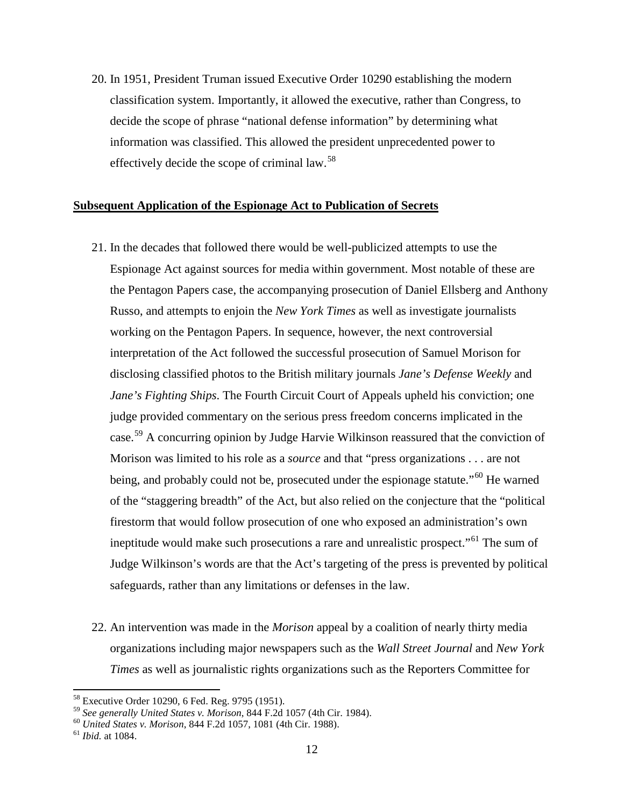20. In 1951, President Truman issued Executive Order 10290 establishing the modern classification system. Importantly, it allowed the executive, rather than Congress, to decide the scope of phrase "national defense information" by determining what information was classified. This allowed the president unprecedented power to effectively decide the scope of criminal law.[58](#page-11-0)

## **Subsequent Application of the Espionage Act to Publication of Secrets**

- 21. In the decades that followed there would be well-publicized attempts to use the Espionage Act against sources for media within government. Most notable of these are the Pentagon Papers case, the accompanying prosecution of Daniel Ellsberg and Anthony Russo, and attempts to enjoin the *New York Times* as well as investigate journalists working on the Pentagon Papers. In sequence, however, the next controversial interpretation of the Act followed the successful prosecution of Samuel Morison for disclosing classified photos to the British military journals *Jane's Defense Weekly* and *Jane's Fighting Ships*. The Fourth Circuit Court of Appeals upheld his conviction; one judge provided commentary on the serious press freedom concerns implicated in the case.<sup>[59](#page-11-1)</sup> A concurring opinion by Judge Harvie Wilkinson reassured that the conviction of Morison was limited to his role as a *source* and that "press organizations . . . are not being, and probably could not be, prosecuted under the espionage statute."<sup>[60](#page-11-2)</sup> He warned of the "staggering breadth" of the Act, but also relied on the conjecture that the "political firestorm that would follow prosecution of one who exposed an administration's own ineptitude would make such prosecutions a rare and unrealistic prospect."[61](#page-11-3) The sum of Judge Wilkinson's words are that the Act's targeting of the press is prevented by political safeguards, rather than any limitations or defenses in the law.
- 22. An intervention was made in the *Morison* appeal by a coalition of nearly thirty media organizations including major newspapers such as the *Wall Street Journal* and *New York Times* as well as journalistic rights organizations such as the Reporters Committee for

<span id="page-11-0"></span><sup>&</sup>lt;sup>58</sup> Executive Order 10290, 6 Fed. Reg. 9795 (1951).<br><sup>59</sup> See generally United States v. Morison, 844 F.2d 1057 (4th Cir. 1984).

<span id="page-11-2"></span><span id="page-11-1"></span><sup>59</sup> *See generally United States v. Morison*, 844 F.2d 1057 (4th Cir. 1984). <sup>60</sup> *United States v. Morison*, 844 F.2d 1057, 1081 (4th Cir. 1988). <sup>61</sup> *Ibid.* at 1084.

<span id="page-11-3"></span>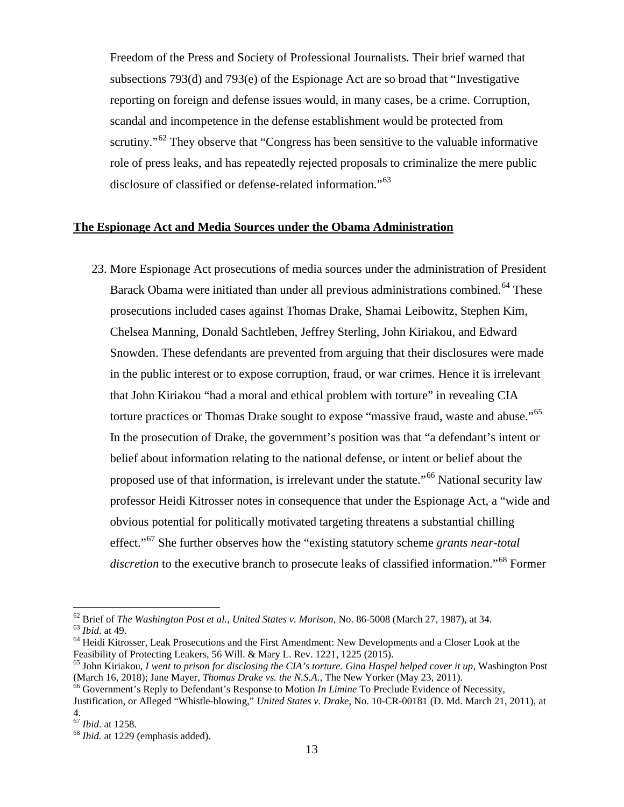Freedom of the Press and Society of Professional Journalists. Their brief warned that subsections 793(d) and 793(e) of the Espionage Act are so broad that "Investigative reporting on foreign and defense issues would, in many cases, be a crime. Corruption, scandal and incompetence in the defense establishment would be protected from scrutiny."<sup>[62](#page-12-0)</sup> They observe that "Congress has been sensitive to the valuable informative role of press leaks, and has repeatedly rejected proposals to criminalize the mere public disclosure of classified or defense-related information."<sup>[63](#page-12-1)</sup>

## **The Espionage Act and Media Sources under the Obama Administration**

23. More Espionage Act prosecutions of media sources under the administration of President Barack Obama were initiated than under all previous administrations combined.<sup>[64](#page-12-2)</sup> These prosecutions included cases against Thomas Drake, Shamai Leibowitz, Stephen Kim, Chelsea Manning, Donald Sachtleben, Jeffrey Sterling, John Kiriakou, and Edward Snowden. These defendants are prevented from arguing that their disclosures were made in the public interest or to expose corruption, fraud, or war crimes. Hence it is irrelevant that John Kiriakou "had a moral and ethical problem with torture" in revealing CIA torture practices or Thomas Drake sought to expose "massive fraud, waste and abuse."[65](#page-12-3) In the prosecution of Drake, the government's position was that "a defendant's intent or belief about information relating to the national defense, or intent or belief about the proposed use of that information, is irrelevant under the statute."[66](#page-12-4) National security law professor Heidi Kitrosser notes in consequence that under the Espionage Act, a "wide and obvious potential for politically motivated targeting threatens a substantial chilling effect."[67](#page-12-5) She further observes how the "existing statutory scheme *grants near-total discretion* to the executive branch to prosecute leaks of classified information."<sup>[68](#page-12-6)</sup> Former

<span id="page-12-1"></span><span id="page-12-0"></span><sup>&</sup>lt;sup>62</sup> Brief of *The Washington Post et al., United States v. Morison*, No. 86-5008 (March 27, 1987), at 34.<br><sup>63</sup> *Ibid.* at 49.<br><sup>64</sup> Heidi Kitrosser, Leak Prosecutions and the First Amendment: New Developments and a Closer

<span id="page-12-2"></span>Feasibility of Protecting Leakers, 56 Will. & Mary L. Rev. 1221, 1225 (2015).

<span id="page-12-3"></span> $65$  John Kiriakou, *I went to prison for disclosing the CIA's torture. Gina Haspel helped cover it up*, Washington Post (March 16, 2018); Jane Mayer, *Thomas Drake vs. the N.S.A.*, The New Yorker (May 23, 2011).

<span id="page-12-4"></span><sup>(</sup>March 16, 2018); Jane Mayer, *Thomas Drake vs. the N.S.A.*, The New Yorker (May 23, 2011). <sup>66</sup> Government's Reply to Defendant's Response to Motion *In Limine* To Preclude Evidence of Necessity, Justification, or Alleged "Whistle-blowing," *United States v. Drake*, No. 10-CR-00181 (D. Md. March 21, 2011), at

<span id="page-12-5"></span> $^{67}$  *Ibid.* at 1258.

<span id="page-12-6"></span><sup>&</sup>lt;sup>68</sup> *Ibid.* at 1229 (emphasis added).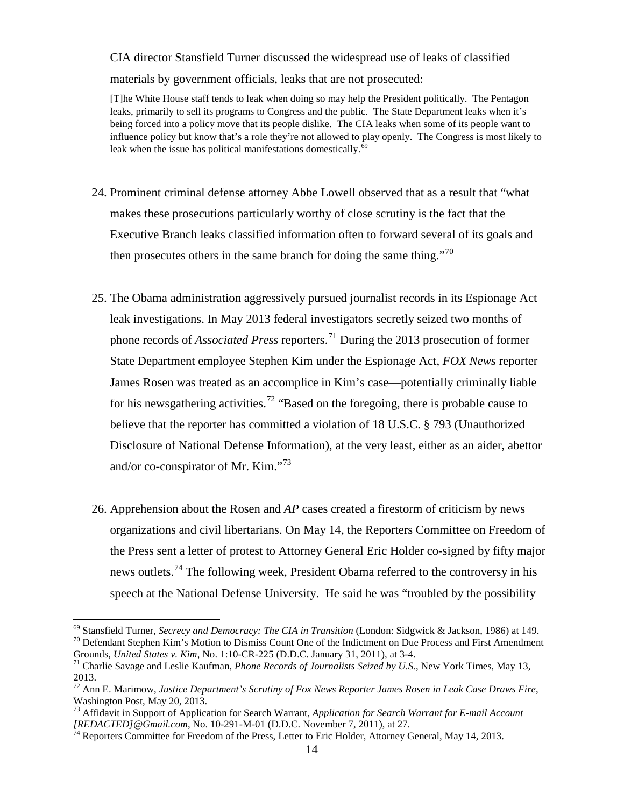CIA director Stansfield Turner discussed the widespread use of leaks of classified materials by government officials, leaks that are not prosecuted:

[T]he White House staff tends to leak when doing so may help the President politically. The Pentagon leaks, primarily to sell its programs to Congress and the public. The State Department leaks when it's being forced into a policy move that its people dislike. The CIA leaks when some of its people want to influence policy but know that's a role they're not allowed to play openly. The Congress is most likely to leak when the issue has political manifestations domestically.<sup>[69](#page-13-0)</sup>

- 24. Prominent criminal defense attorney Abbe Lowell observed that as a result that "what makes these prosecutions particularly worthy of close scrutiny is the fact that the Executive Branch leaks classified information often to forward several of its goals and then prosecutes others in the same branch for doing the same thing."<sup>[70](#page-13-1)</sup>
- 25. The Obama administration aggressively pursued journalist records in its Espionage Act leak investigations. In May 2013 federal investigators secretly seized two months of phone records of *Associated Press* reporters.[71](#page-13-2) During the 2013 prosecution of former State Department employee Stephen Kim under the Espionage Act, *FOX News* reporter James Rosen was treated as an accomplice in Kim's case—potentially criminally liable for his newsgathering activities.<sup>[72](#page-13-3)</sup> "Based on the foregoing, there is probable cause to believe that the reporter has committed a violation of 18 U.S.C. § 793 (Unauthorized Disclosure of National Defense Information), at the very least, either as an aider, abettor and/or co-conspirator of Mr. Kim. $^{73}$  $^{73}$  $^{73}$
- 26. Apprehension about the Rosen and *AP* cases created a firestorm of criticism by news organizations and civil libertarians. On May 14, the Reporters Committee on Freedom of the Press sent a letter of protest to Attorney General Eric Holder co-signed by fifty major news outlets.<sup>[74](#page-13-5)</sup> The following week, President Obama referred to the controversy in his speech at the National Defense University. He said he was "troubled by the possibility

<span id="page-13-1"></span><span id="page-13-0"></span><sup>&</sup>lt;sup>69</sup> Stansfield Turner, *Secrecy and Democracy: The CIA in Transition* (London: Sidgwick & Jackson, 1986) at 149.<br><sup>70</sup> Defendant Stephen Kim's Motion to Dismiss Count One of the Indictment on Due Process and First Amendmen

<span id="page-13-2"></span>Grounds, *United States v. Kim*, No. 1:10-CR-225 (D.D.C. January 31, 2011), at 3-4.<br><sup>71</sup> Charlie Savage and Leslie Kaufman, *Phone Records of Journalists Seized by U.S.*, New York Times, May 13,

<sup>2013.</sup>

<span id="page-13-3"></span><sup>72</sup> Ann E. Marimow, *Justice Department's Scrutiny of Fox News Reporter James Rosen in Leak Case Draws Fire*, Washington Post, May 20, 2013.

<span id="page-13-4"></span><sup>&</sup>lt;sup>73</sup> Affidavit in Support of Application for Search Warrant, *Application for Search Warrant for E-mail Account* [*REDACTED*] @ *Gmail.com*, No. 10-291-M-01 (D.D.C. November 7, 2011), at 27.

<span id="page-13-5"></span><sup>&</sup>lt;sup>74</sup> Reporters Committee for Freedom of the Press, Letter to Eric Holder, Attorney General, May 14, 2013.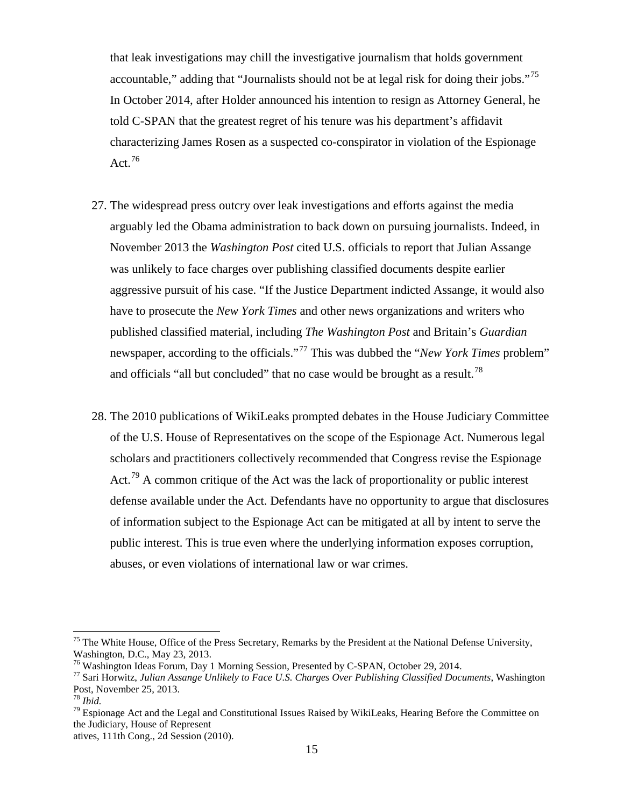that leak investigations may chill the investigative journalism that holds government accountable," adding that "Journalists should not be at legal risk for doing their jobs."<sup>[75](#page-14-0)</sup> In October 2014, after Holder announced his intention to resign as Attorney General, he told C-SPAN that the greatest regret of his tenure was his department's affidavit characterizing James Rosen as a suspected co-conspirator in violation of the Espionage Act. $76$ 

- 27. The widespread press outcry over leak investigations and efforts against the media arguably led the Obama administration to back down on pursuing journalists. Indeed, in November 2013 the *Washington Post* cited U.S. officials to report that Julian Assange was unlikely to face charges over publishing classified documents despite earlier aggressive pursuit of his case. "If the Justice Department indicted Assange, it would also have to prosecute the *New York Times* and other news organizations and writers who published classified material, including *The Washington Post* and Britain's *Guardian* newspaper, according to the officials."[77](#page-14-2) This was dubbed the "*New York Times* problem" and officials "all but concluded" that no case would be brought as a result.<sup>[78](#page-14-3)</sup>
- 28. The 2010 publications of WikiLeaks prompted debates in the House Judiciary Committee of the U.S. House of Representatives on the scope of the Espionage Act. Numerous legal scholars and practitioners collectively recommended that Congress revise the Espionage Act.<sup>[79](#page-14-4)</sup> A common critique of the Act was the lack of proportionality or public interest defense available under the Act. Defendants have no opportunity to argue that disclosures of information subject to the Espionage Act can be mitigated at all by intent to serve the public interest. This is true even where the underlying information exposes corruption, abuses, or even violations of international law or war crimes.

<span id="page-14-0"></span> $75$  The White House, Office of the Press Secretary, Remarks by the President at the National Defense University, Washington, D.C., May 23, 2013.<br><sup>76</sup> Washington Ideas Forum, Day 1 Morning Session, Presented by C-SPAN, October 29, 2014.

<span id="page-14-1"></span>

<span id="page-14-2"></span><sup>&</sup>lt;sup>77</sup> Sari Horwitz, Julian Assange Unlikely to Face U.S. Charges Over Publishing Classified Documents, Washington Post, November 25, 2013.

<span id="page-14-4"></span><span id="page-14-3"></span><sup>&</sup>lt;sup>78</sup> *Ibid.*<br><sup>79</sup> Espionage Act and the Legal and Constitutional Issues Raised by WikiLeaks, Hearing Before the Committee on the Judiciary, House of Represent

atives, 111th Cong., 2d Session (2010).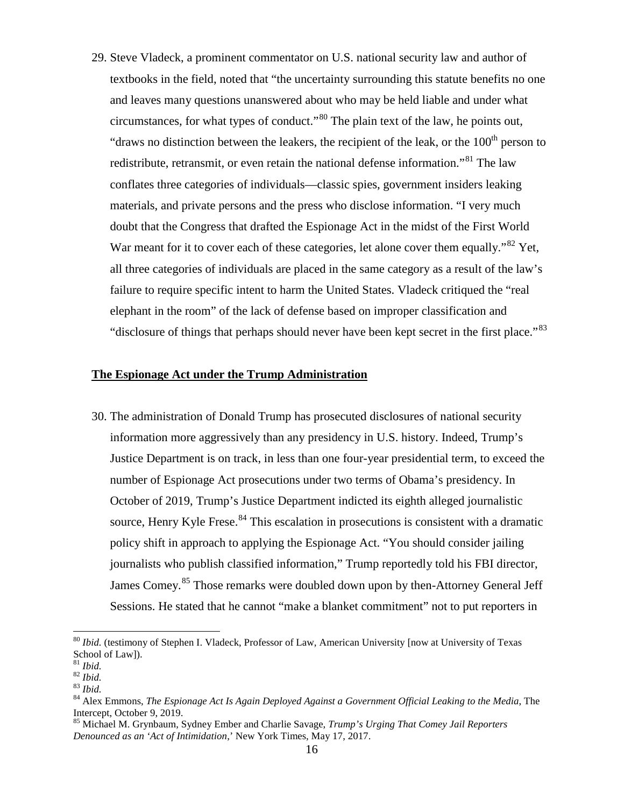29. Steve Vladeck, a prominent commentator on U.S. national security law and author of textbooks in the field, noted that "the uncertainty surrounding this statute benefits no one and leaves many questions unanswered about who may be held liable and under what circumstances, for what types of conduct."[80](#page-15-0) The plain text of the law, he points out, "draws no distinction between the leakers, the recipient of the leak, or the  $100<sup>th</sup>$  person to redistribute, retransmit, or even retain the national defense information."<sup>[81](#page-15-1)</sup> The law conflates three categories of individuals—classic spies, government insiders leaking materials, and private persons and the press who disclose information. "I very much doubt that the Congress that drafted the Espionage Act in the midst of the First World War meant for it to cover each of these categories, let alone cover them equally."<sup>[82](#page-15-2)</sup> Yet. all three categories of individuals are placed in the same category as a result of the law's failure to require specific intent to harm the United States. Vladeck critiqued the "real elephant in the room" of the lack of defense based on improper classification and "disclosure of things that perhaps should never have been kept secret in the first place."<sup>[83](#page-15-3)</sup>

## **The Espionage Act under the Trump Administration**

30. The administration of Donald Trump has prosecuted disclosures of national security information more aggressively than any presidency in U.S. history. Indeed, Trump's Justice Department is on track, in less than one four-year presidential term, to exceed the number of Espionage Act prosecutions under two terms of Obama's presidency. In October of 2019, Trump's Justice Department indicted its eighth alleged journalistic source, Henry Kyle Frese.<sup>[84](#page-15-4)</sup> This escalation in prosecutions is consistent with a dramatic policy shift in approach to applying the Espionage Act. "You should consider jailing journalists who publish classified information," Trump reportedly told his FBI director, James Comey.<sup>[85](#page-15-5)</sup> Those remarks were doubled down upon by then-Attorney General Jeff Sessions. He stated that he cannot "make a blanket commitment" not to put reporters in

<span id="page-15-0"></span><sup>80</sup> *Ibid.* (testimony of Stephen I. Vladeck, Professor of Law, American University [now at University of Texas School of Law]).<br><sup>81</sup> *Ibid*.

<span id="page-15-4"></span><span id="page-15-3"></span>

<span id="page-15-2"></span><span id="page-15-1"></span><sup>82</sup> *Ibid.*<br><sup>83</sup> *Ibid.*<br><sup>84</sup> Alex Emmons, *The Espionage Act Is Again Deployed Against a Government Official Leaking to the Media, The* Intercept, October 9, 2019.

<span id="page-15-5"></span><sup>85</sup> Michael M. Grynbaum, Sydney Ember and Charlie Savage, *Trump's Urging That Comey Jail Reporters Denounced as an 'Act of Intimidation*,' New York Times, May 17, 2017.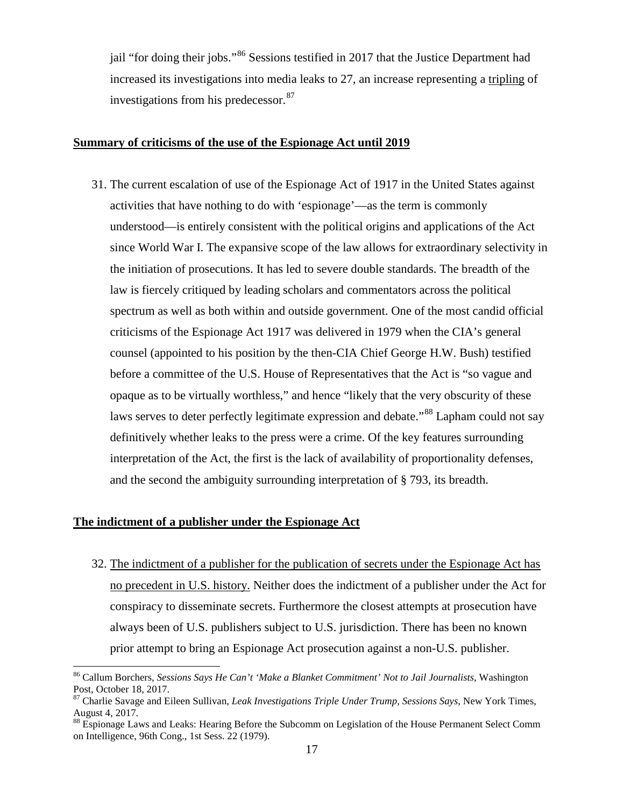jail "for doing their jobs."<sup>[86](#page-16-0)</sup> Sessions testified in 2017 that the Justice Department had increased its investigations into media leaks to 27, an increase representing a tripling of investigations from his predecessor. [87](#page-16-1)

## **Summary of criticisms of the use of the Espionage Act until 2019**

31. The current escalation of use of the Espionage Act of 1917 in the United States against activities that have nothing to do with 'espionage'—as the term is commonly understood—is entirely consistent with the political origins and applications of the Act since World War I. The expansive scope of the law allows for extraordinary selectivity in the initiation of prosecutions. It has led to severe double standards. The breadth of the law is fiercely critiqued by leading scholars and commentators across the political spectrum as well as both within and outside government. One of the most candid official criticisms of the Espionage Act 1917 was delivered in 1979 when the CIA's general counsel (appointed to his position by the then-CIA Chief George H.W. Bush) testified before a committee of the U.S. House of Representatives that the Act is "so vague and opaque as to be virtually worthless," and hence "likely that the very obscurity of these laws serves to deter perfectly legitimate expression and debate."<sup>[88](#page-16-2)</sup> Lapham could not say definitively whether leaks to the press were a crime. Of the key features surrounding interpretation of the Act, the first is the lack of availability of proportionality defenses, and the second the ambiguity surrounding interpretation of § 793, its breadth.

#### **The indictment of a publisher under the Espionage Act**

32. The indictment of a publisher for the publication of secrets under the Espionage Act has no precedent in U.S. history. Neither does the indictment of a publisher under the Act for conspiracy to disseminate secrets. Furthermore the closest attempts at prosecution have always been of U.S. publishers subject to U.S. jurisdiction. There has been no known prior attempt to bring an Espionage Act prosecution against a non-U.S. publisher.

<span id="page-16-0"></span><sup>86</sup> Callum Borchers, *Sessions Says He Can't 'Make a Blanket Commitment' Not to Jail Journalists*, Washington Post, October 18, 2017.

<span id="page-16-1"></span><sup>87</sup> Charlie Savage and Eileen Sullivan, *Leak Investigations Triple Under Trump, Sessions Says*, New York Times, August 4, 2017.

<span id="page-16-2"></span><sup>&</sup>lt;sup>88</sup> Espionage Laws and Leaks: Hearing Before the Subcomm on Legislation of the House Permanent Select Comm on Intelligence, 96th Cong., 1st Sess. 22 (1979).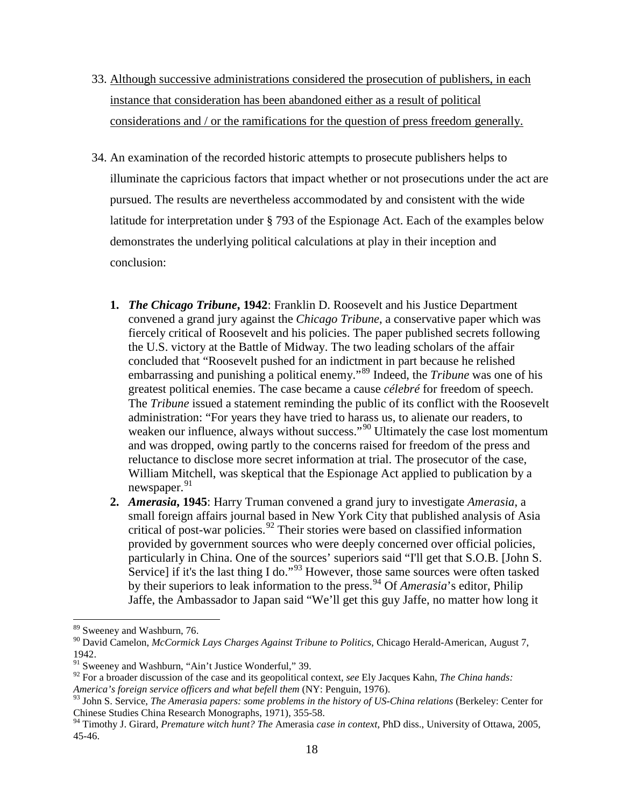- 33. Although successive administrations considered the prosecution of publishers, in each instance that consideration has been abandoned either as a result of political considerations and / or the ramifications for the question of press freedom generally.
- 34. An examination of the recorded historic attempts to prosecute publishers helps to illuminate the capricious factors that impact whether or not prosecutions under the act are pursued. The results are nevertheless accommodated by and consistent with the wide latitude for interpretation under § 793 of the Espionage Act. Each of the examples below demonstrates the underlying political calculations at play in their inception and conclusion:
	- **1.** *The Chicago Tribune***, 1942**: Franklin D. Roosevelt and his Justice Department convened a grand jury against the *Chicago Tribune*, a conservative paper which was fiercely critical of Roosevelt and his policies. The paper published secrets following the U.S. victory at the Battle of Midway. The two leading scholars of the affair concluded that "Roosevelt pushed for an indictment in part because he relished embarrassing and punishing a political enemy."[89](#page-17-0) Indeed, the *Tribune* was one of his greatest political enemies. The case became a cause *célebré* for freedom of speech. The *Tribune* issued a statement reminding the public of its conflict with the Roosevelt administration: "For years they have tried to harass us, to alienate our readers, to weaken our influence, always without success."<sup>[90](#page-17-1)</sup> Ultimately the case lost momentum and was dropped, owing partly to the concerns raised for freedom of the press and reluctance to disclose more secret information at trial. The prosecutor of the case, William Mitchell, was skeptical that the Espionage Act applied to publication by a newspaper.<sup>[91](#page-17-2)</sup>
	- **2.** *Amerasia***, 1945**: Harry Truman convened a grand jury to investigate *Amerasia*, a small foreign affairs journal based in New York City that published analysis of Asia critical of post-war policies. [92](#page-17-3) Their stories were based on classified information provided by government sources who were deeply concerned over official policies, particularly in China. One of the sources' superiors said "I'll get that S.O.B. [John S. Service] if it's the last thing I do."<sup>[93](#page-17-4)</sup> However, those same sources were often tasked by their superiors to leak information to the press.<sup>[94](#page-17-5)</sup> Of *Amerasia*'s editor, Philip Jaffe, the Ambassador to Japan said "We'll get this guy Jaffe, no matter how long it

<span id="page-17-0"></span><sup>&</sup>lt;sup>89</sup> Sweeney and Washburn, 76.

<span id="page-17-1"></span><sup>90</sup> David Camelon, *McCormick Lays Charges Against Tribune to Politics*, Chicago Herald-American, August 7, 1942.

<span id="page-17-2"></span><sup>&</sup>lt;sup>91</sup> Sweeney and Washburn, "Ain't Justice Wonderful," 39.

<span id="page-17-3"></span><sup>92</sup> For a broader discussion of the case and its geopolitical context, *see* Ely Jacques Kahn, *The China hands: America's foreign service officers and what befell them* (NY: Penguin, 1976).

<span id="page-17-4"></span><sup>93</sup> John S. Service, *The Amerasia papers: some problems in the history of US-China relations* (Berkeley: Center for Chinese Studies China Research Monographs, 1971), 355-58.

<span id="page-17-5"></span><sup>94</sup> Timothy J. Girard, *Premature witch hunt? The* Amerasia *case in context*, PhD diss., University of Ottawa, 2005, 45-46.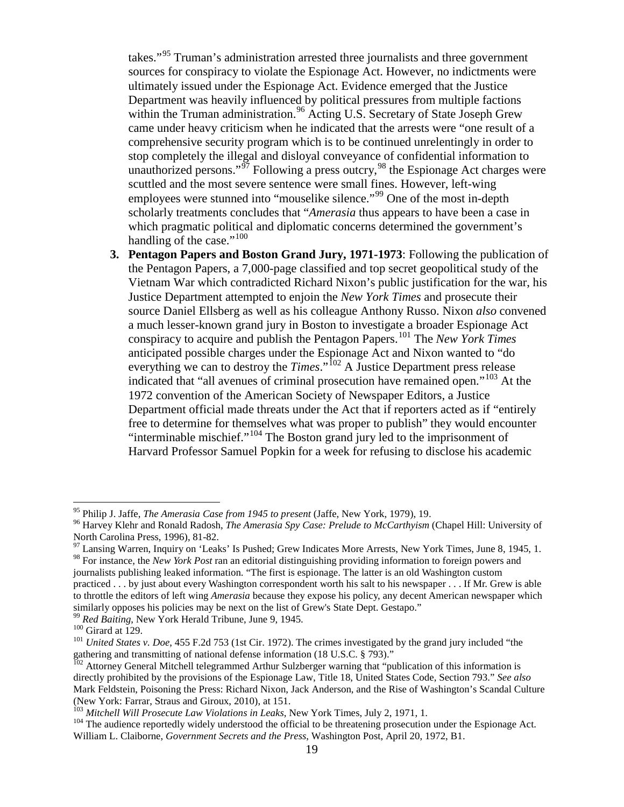takes."[95](#page-18-0) Truman's administration arrested three journalists and three government sources for conspiracy to violate the Espionage Act. However, no indictments were ultimately issued under the Espionage Act. Evidence emerged that the Justice Department was heavily influenced by political pressures from multiple factions within the Truman administration.<sup>[96](#page-18-1)</sup> Acting U.S. Secretary of State Joseph Grew came under heavy criticism when he indicated that the arrests were "one result of a comprehensive security program which is to be continued unrelentingly in order to stop completely the illegal and disloyal conveyance of confidential information to unauthorized persons."<sup> $\frac{5}{7}$ </sup> Following a press outcry,<sup>[98](#page-18-3)</sup> the Espionage Act charges were scuttled and the most severe sentence were small fines. However, left-wing employees were stunned into "mouselike silence."<sup>[99](#page-18-4)</sup> One of the most in-depth scholarly treatments concludes that "*Amerasia* thus appears to have been a case in which pragmatic political and diplomatic concerns determined the government's handling of the case." $100$ 

**3. Pentagon Papers and Boston Grand Jury, 1971-1973**: Following the publication of the Pentagon Papers, a 7,000-page classified and top secret geopolitical study of the Vietnam War which contradicted Richard Nixon's public justification for the war, his Justice Department attempted to enjoin the *New York Times* and prosecute their source Daniel Ellsberg as well as his colleague Anthony Russo. Nixon *also* convened a much lesser-known grand jury in Boston to investigate a broader Espionage Act conspiracy to acquire and publish the Pentagon Papers.[101](#page-18-6) The *New York Times* anticipated possible charges under the Espionage Act and Nixon wanted to "do everything we can to destroy the *Times*."<sup>[102](#page-18-7)</sup> A Justice Department press release indicated that "all avenues of criminal prosecution have remained open."<sup>[103](#page-18-8)</sup> At the 1972 convention of the American Society of Newspaper Editors, a Justice Department official made threats under the Act that if reporters acted as if "entirely free to determine for themselves what was proper to publish" they would encounter "interminable mischief."[104](#page-18-9) The Boston grand jury led to the imprisonment of Harvard Professor Samuel Popkin for a week for refusing to disclose his academic

<span id="page-18-1"></span><span id="page-18-0"></span><sup>&</sup>lt;sup>95</sup> Philip J. Jaffe, *The Amerasia Case from 1945 to present* (Jaffe, New York, 1979), 19.<br><sup>96</sup> Harvey Klehr and Ronald Radosh, *The Amerasia Spy Case: Prelude to McCarthyism* (Chapel Hill: University of North Carolina Press, 1996), 81-82.<br><sup>97</sup> Lansing Warren, Inquiry on 'Leaks' Is Pushed; Grew Indicates More Arrests, New York Times, June 8, 1945, 1.

<span id="page-18-3"></span><span id="page-18-2"></span><sup>98</sup> For instance, the *New York Post* ran an editorial distinguishing providing information to foreign powers and journalists publishing leaked information. "The first is espionage. The latter is an old Washington custom practiced . . . by just about every Washington correspondent worth his salt to his newspaper . . . If Mr. Grew is able to throttle the editors of left wing *Amerasia* because they expose his policy, any decent American newspaper which

similarly opposes his policies may be next on the list of Grew's State Dept. Gestapo."<br><sup>99</sup> Red Baiting, New York Herald Tribune, June 9, 1945.

<span id="page-18-6"></span><span id="page-18-5"></span><span id="page-18-4"></span><sup>&</sup>lt;sup>100</sup> Girard at 129.<br><sup>101</sup> *United States v. Doe*, 455 F.2d 753 (1st Cir. 1972). The crimes investigated by the grand jury included "the gathering and transmitting of national defense information (18 U.S.C. § 793)."

<span id="page-18-7"></span><sup>&</sup>lt;sup>102</sup> Attorney General Mitchell telegrammed Arthur Sulzberger warning that "publication of this information is directly prohibited by the provisions of the Espionage Law, Title 18, United States Code, Section 793." *See also* Mark Feldstein, Poisoning the Press: Richard Nixon, Jack Anderson, and the Rise of Washington's Scandal Culture (New York: Farrar, Straus and Giroux, 2010), at 151.<br><sup>103</sup> Mitchell Will Prosecute Law Violations in Leaks, New York Times, July 2, 1971, 1.

<span id="page-18-9"></span><span id="page-18-8"></span><sup>&</sup>lt;sup>104</sup> The audience reportedly widely understood the official to be threatening prosecution under the Espionage Act. William L. Claiborne, *Government Secrets and the Press*, Washington Post, April 20, 1972, B1.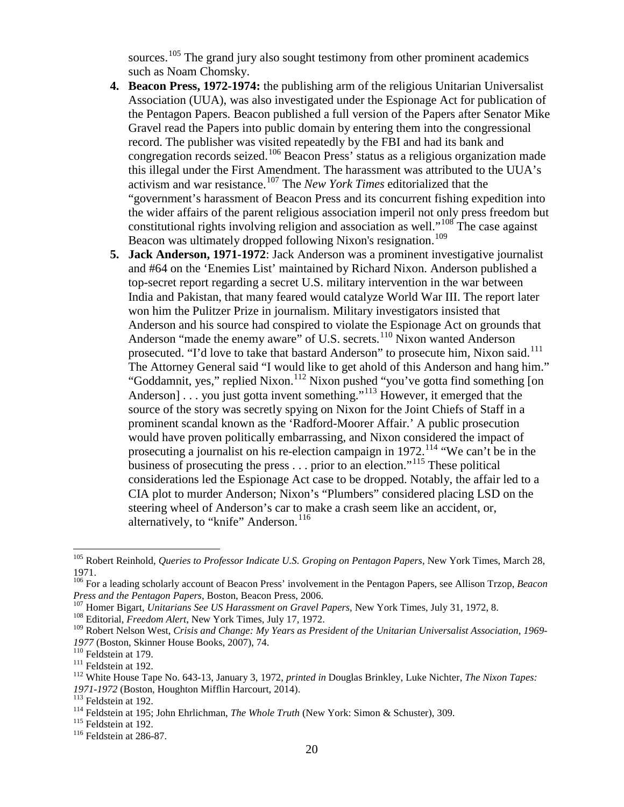sources.<sup>[105](#page-19-0)</sup> The grand jury also sought testimony from other prominent academics such as Noam Chomsky.

- **4. Beacon Press, 1972-1974:** the publishing arm of the religious Unitarian Universalist Association (UUA), was also investigated under the Espionage Act for publication of the Pentagon Papers. Beacon published a full version of the Papers after Senator Mike Gravel read the Papers into public domain by entering them into the congressional record. The publisher was visited repeatedly by the FBI and had its bank and congregation records seized.[106](#page-19-1) Beacon Press' status as a religious organization made this illegal under the First Amendment. The harassment was attributed to the UUA's activism and war resistance.[107](#page-19-2) The *New York Times* editorialized that the "government's harassment of Beacon Press and its concurrent fishing expedition into the wider affairs of the parent religious association imperil not only press freedom but constitutional rights involving religion and association as well."<sup>[108](#page-19-3)</sup> The case against Beacon was ultimately dropped following Nixon's resignation.<sup>[109](#page-19-4)</sup>
- **5. Jack Anderson, 1971-1972**: Jack Anderson was a prominent investigative journalist and #64 on the 'Enemies List' maintained by Richard Nixon. Anderson published a top-secret report regarding a secret U.S. military intervention in the war between India and Pakistan, that many feared would catalyze World War III. The report later won him the Pulitzer Prize in journalism. Military investigators insisted that Anderson and his source had conspired to violate the Espionage Act on grounds that Anderson "made the enemy aware" of U.S. secrets.<sup>[110](#page-19-5)</sup> Nixon wanted Anderson prosecuted. "I'd love to take that bastard Anderson" to prosecute him, Nixon said.<sup>[111](#page-19-6)</sup> The Attorney General said "I would like to get ahold of this Anderson and hang him." "Goddamnit, yes," replied Nixon.<sup>[112](#page-19-7)</sup> Nixon pushed "you've gotta find something [on Anderson]  $\ldots$  you just gotta invent something."<sup>[113](#page-19-8)</sup> However, it emerged that the source of the story was secretly spying on Nixon for the Joint Chiefs of Staff in a prominent scandal known as the 'Radford-Moorer Affair.' A public prosecution would have proven politically embarrassing, and Nixon considered the impact of prosecuting a journalist on his re-election campaign in 1972.<sup>[114](#page-19-9)</sup> "We can't be in the business of prosecuting the press . . . prior to an election."[115](#page-19-10) These political considerations led the Espionage Act case to be dropped. Notably, the affair led to a CIA plot to murder Anderson; Nixon's "Plumbers" considered placing LSD on the steering wheel of Anderson's car to make a crash seem like an accident, or, alternatively, to "knife" Anderson.<sup>[116](#page-19-11)</sup>

<span id="page-19-0"></span><sup>105</sup> Robert Reinhold, *Queries to Professor Indicate U.S. Groping on Pentagon Papers*, New York Times, March 28, 1971.

<span id="page-19-1"></span><sup>&</sup>lt;sup>106</sup> For a leading scholarly account of Beacon Press' involvement in the Pentagon Papers, see Allison Trzop, *Beacon Press and the Pentagon Papers*, Boston, Beacon Press, 2006.

<span id="page-19-2"></span> $^{107}$  Homer Bigart, Unitarians See US Harassment on Gravel Papers, New York Times, July 31, 1972, 8.  $^{108}$  Editorial, *Freedom Alert*, New York Times, July 17, 1972.

<span id="page-19-4"></span><span id="page-19-3"></span><sup>&</sup>lt;sup>109</sup> Robert Nelson West, *Crisis and Change: My Years as President of the Unitarian Universalist Association, 1969-*<br>1977 (Boston, Skinner House Books, 2007), 74.

<span id="page-19-7"></span>

<span id="page-19-6"></span><span id="page-19-5"></span><sup>&</sup>lt;sup>110</sup> Feldstein at 179.<br><sup>111</sup> Feldstein at 192.<br><sup>112</sup> White House Tape No. 643-13, January 3, 1972, *printed in* Douglas Brinkley, Luke Nichter, *The Nixon Tapes:*<br>*1971-1972* (Boston, Houghton Mifflin Harcourt, 2014).

<span id="page-19-9"></span><span id="page-19-8"></span><sup>&</sup>lt;sup>113</sup> Feldstein at 192.<br><sup>114</sup> Feldstein at 195; John Ehrlichman, *The Whole Truth* (New York: Simon & Schuster), 309.<br><sup>115</sup> Feldstein at 192.<br><sup>116</sup> Feldstein at 286-87.

<span id="page-19-11"></span><span id="page-19-10"></span>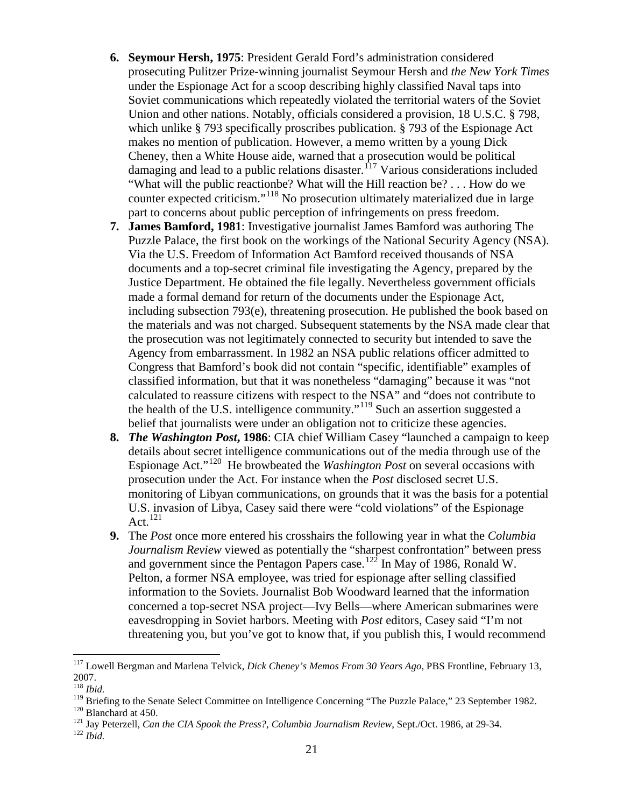- **6. Seymour Hersh, 1975**: President Gerald Ford's administration considered prosecuting Pulitzer Prize-winning journalist Seymour Hersh and *the New York Times* under the Espionage Act for a scoop describing highly classified Naval taps into Soviet communications which repeatedly violated the territorial waters of the Soviet Union and other nations. Notably, officials considered a provision, 18 U.S.C. § 798, which unlike § 793 specifically proscribes publication. § 793 of the Espionage Act makes no mention of publication. However, a memo written by a young Dick Cheney, then a White House aide, warned that a prosecution would be political damaging and lead to a public relations disaster.<sup>[117](#page-20-0)</sup> Various considerations included "What will the public reactionbe? What will the Hill reaction be? . . . How do we counter expected criticism."[118](#page-20-1) No prosecution ultimately materialized due in large part to concerns about public perception of infringements on press freedom.
- **7. James Bamford, 1981**: Investigative journalist James Bamford was authoring The Puzzle Palace, the first book on the workings of the National Security Agency (NSA). Via the U.S. Freedom of Information Act Bamford received thousands of NSA documents and a top-secret criminal file investigating the Agency, prepared by the Justice Department. He obtained the file legally. Nevertheless government officials made a formal demand for return of the documents under the Espionage Act, including subsection 793(e), threatening prosecution. He published the book based on the materials and was not charged. Subsequent statements by the NSA made clear that the prosecution was not legitimately connected to security but intended to save the Agency from embarrassment. In 1982 an NSA public relations officer admitted to Congress that Bamford's book did not contain "specific, identifiable" examples of classified information, but that it was nonetheless "damaging" because it was "not calculated to reassure citizens with respect to the NSA" and "does not contribute to the health of the U.S. intelligence community."<sup>[119](#page-20-2)</sup> Such an assertion suggested a belief that journalists were under an obligation not to criticize these agencies.
- **8.** *The Washington Post***, 1986**: CIA chief William Casey "launched a campaign to keep details about secret intelligence communications out of the media through use of the Espionage Act."[120](#page-20-3) He browbeated the *Washington Post* on several occasions with prosecution under the Act. For instance when the *Post* disclosed secret U.S. monitoring of Libyan communications, on grounds that it was the basis for a potential U.S. invasion of Libya, Casey said there were "cold violations" of the Espionage Act. $^{121}$  $^{121}$  $^{121}$
- **9.** The *Post* once more entered his crosshairs the following year in what the *Columbia Journalism Review* viewed as potentially the "sharpest confrontation" between press and government since the Pentagon Papers case.<sup>[122](#page-20-5)</sup> In May of 1986, Ronald W. Pelton, a former NSA employee, was tried for espionage after selling classified information to the Soviets. Journalist Bob Woodward learned that the information concerned a top-secret NSA project—Ivy Bells—where American submarines were eavesdropping in Soviet harbors. Meeting with *Post* editors, Casey said "I'm not threatening you, but you've got to know that, if you publish this, I would recommend

<span id="page-20-0"></span><sup>117</sup> Lowell Bergman and Marlena Telvick, *Dick Cheney's Memos From 30 Years Ago*, PBS Frontline, February 13, 2007.

<sup>118</sup> *Ibid.*

<span id="page-20-3"></span><span id="page-20-2"></span><span id="page-20-1"></span><sup>&</sup>lt;sup>119</sup> Briefing to the Senate Select Committee on Intelligence Concerning "The Puzzle Palace," 23 September 1982.<br><sup>120</sup> Blanchard at 450.<br><sup>121</sup> Jay Peterzell, *Can the CIA Spook the Press?*, *Columbia Journalism Review*, S

<span id="page-20-4"></span>

<span id="page-20-5"></span>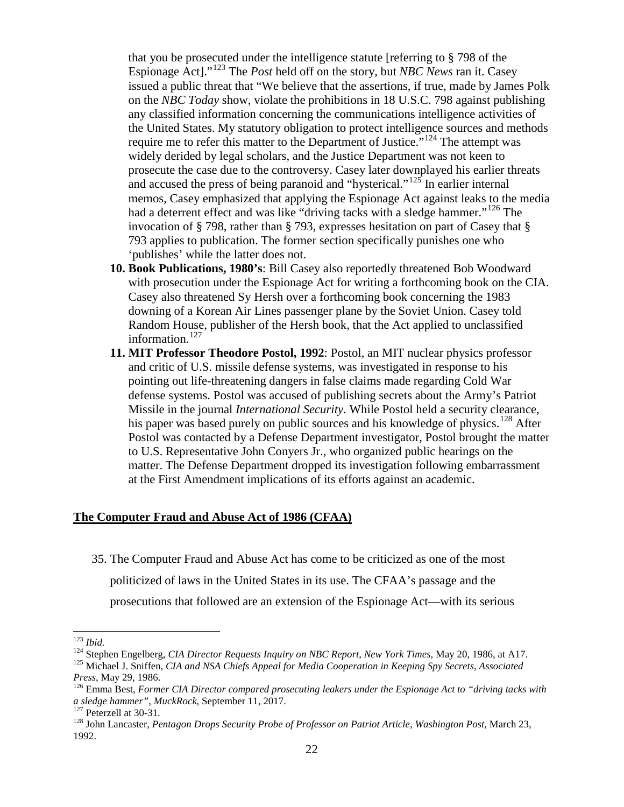that you be prosecuted under the intelligence statute [referring to § 798 of the Espionage Act]."[123](#page-21-0) The *Post* held off on the story, but *NBC News* ran it. Casey issued a public threat that "We believe that the assertions, if true, made by James Polk on the *NBC Today* show, violate the prohibitions in 18 U.S.C. 798 against publishing any classified information concerning the communications intelligence activities of the United States. My statutory obligation to protect intelligence sources and methods require me to refer this matter to the Department of Justice."<sup>[124](#page-21-1)</sup> The attempt was widely derided by legal scholars, and the Justice Department was not keen to prosecute the case due to the controversy. Casey later downplayed his earlier threats and accused the press of being paranoid and "hysterical."<sup>[125](#page-21-2)</sup> In earlier internal memos, Casey emphasized that applying the Espionage Act against leaks to the media had a deterrent effect and was like "driving tacks with a sledge hammer."<sup>[126](#page-21-3)</sup> The invocation of § 798, rather than § 793, expresses hesitation on part of Casey that § 793 applies to publication. The former section specifically punishes one who 'publishes' while the latter does not.

- **10. Book Publications, 1980's**: Bill Casey also reportedly threatened Bob Woodward with prosecution under the Espionage Act for writing a forthcoming book on the CIA. Casey also threatened Sy Hersh over a forthcoming book concerning the 1983 downing of a Korean Air Lines passenger plane by the Soviet Union. Casey told Random House, publisher of the Hersh book, that the Act applied to unclassified information.<sup>[127](#page-21-4)</sup>
- **11. MIT Professor Theodore Postol, 1992**: Postol, an MIT nuclear physics professor and critic of U.S. missile defense systems, was investigated in response to his pointing out life-threatening dangers in false claims made regarding Cold War defense systems. Postol was accused of publishing secrets about the Army's Patriot Missile in the journal *International Security*. While Postol held a security clearance, his paper was based purely on public sources and his knowledge of physics.<sup>[128](#page-21-5)</sup> After Postol was contacted by a Defense Department investigator, Postol brought the matter to U.S. Representative John Conyers Jr., who organized public hearings on the matter. The Defense Department dropped its investigation following embarrassment at the First Amendment implications of its efforts against an academic.

## **The Computer Fraud and Abuse Act of 1986 (CFAA)**

35. The Computer Fraud and Abuse Act has come to be criticized as one of the most politicized of laws in the United States in its use. The CFAA's passage and the prosecutions that followed are an extension of the Espionage Act—with its serious

<span id="page-21-1"></span><span id="page-21-0"></span><sup>&</sup>lt;sup>123</sup> Ibid.<br><sup>124</sup> Stephen Engelberg, *CIA Director Requests Inquiry on NBC Report*, *New York Times*, May 20, 1986, at A17.<br><sup>125</sup> Michael J. Sniffen, *CIA and NSA Chiefs Appeal for Media Cooperation in Keeping Spy Secrets* 

<span id="page-21-3"></span><span id="page-21-2"></span>*Press*, May 29, 1986.<br><sup>126</sup> Emma Best, *Former CIA Director compared prosecuting leakers under the Espionage Act to "driving tacks with a sledge hammer", MuckRock, September 11, 2017.* 

<span id="page-21-5"></span><span id="page-21-4"></span><sup>&</sup>lt;sup>127</sup> Peterzell at 30-31.<br><sup>128</sup> John Lancaster, *Pentagon Drops Security Probe of Professor on Patriot Article, Washington Post*, March 23, 1992.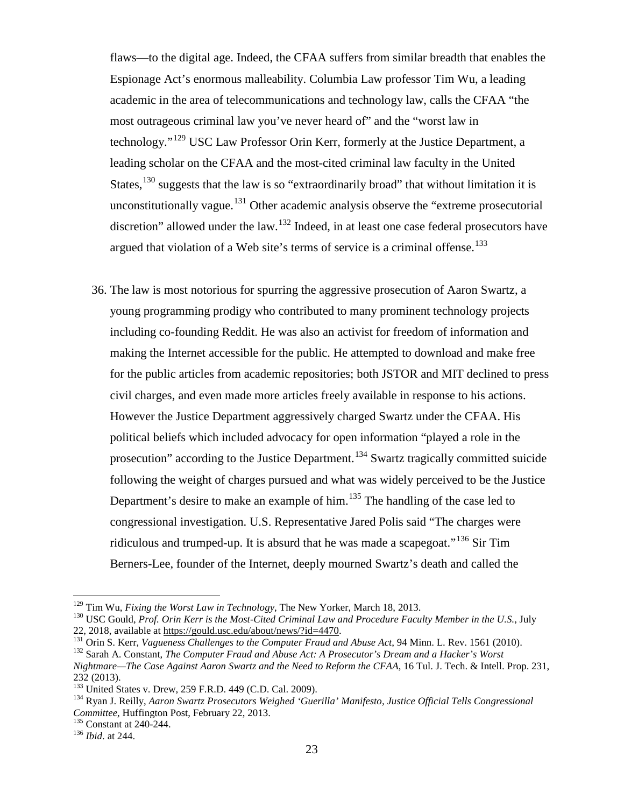flaws—to the digital age. Indeed, the CFAA suffers from similar breadth that enables the Espionage Act's enormous malleability. Columbia Law professor Tim Wu, a leading academic in the area of telecommunications and technology law, calls the CFAA "the most outrageous criminal law you've never heard of" and the "worst law in technology."<sup>[129](#page-22-0)</sup> USC Law Professor Orin Kerr, formerly at the Justice Department, a leading scholar on the CFAA and the most-cited criminal law faculty in the United States,  $130$  suggests that the law is so "extraordinarily broad" that without limitation it is unconstitutionally vague.<sup>[131](#page-22-2)</sup> Other academic analysis observe the "extreme prosecutorial" discretion" allowed under the law.<sup>[132](#page-22-3)</sup> Indeed, in at least one case federal prosecutors have argued that violation of a Web site's terms of service is a criminal offense.<sup>[133](#page-22-4)</sup>

36. The law is most notorious for spurring the aggressive prosecution of Aaron Swartz, a young programming prodigy who contributed to many prominent technology projects including co-founding Reddit. He was also an activist for freedom of information and making the Internet accessible for the public. He attempted to download and make free for the public articles from academic repositories; both JSTOR and MIT declined to press civil charges, and even made more articles freely available in response to his actions. However the Justice Department aggressively charged Swartz under the CFAA. His political beliefs which included advocacy for open information "played a role in the prosecution" according to the Justice Department.<sup>[134](#page-22-5)</sup> Swartz tragically committed suicide following the weight of charges pursued and what was widely perceived to be the Justice Department's desire to make an example of him.<sup>[135](#page-22-6)</sup> The handling of the case led to congressional investigation. U.S. Representative Jared Polis said "The charges were ridiculous and trumped-up. It is absurd that he was made a scapegoat."[136](#page-22-7) Sir Tim Berners-Lee, founder of the Internet, deeply mourned Swartz's death and called the

<span id="page-22-0"></span><sup>&</sup>lt;sup>129</sup> Tim Wu, *Fixing the Worst Law in Technology*, The New Yorker, March 18, 2013.<br><sup>130</sup> USC Gould, *Prof. Orin Kerr is the Most-Cited Criminal Law and Procedure Faculty Member in the U.S.*, July

<span id="page-22-3"></span>

<span id="page-22-2"></span><span id="page-22-1"></span><sup>22, 2018,</sup> available at  $\frac{https://gould.usc.edu/about/news/?id=4470}{131}$ .<br>
Orin S. Kerr, *Vagueness Challenges to the Computer Fraud and Abuse Act*, 94 Minn. L. Rev. 1561 (2010).<br>
<sup>132</sup> Sarah A. Constant, *The Computer Fraud and Abuse Act: A Nightmare—The Case Against Aaron Swartz and the Need to Reform the CFAA*, 16 Tul. J. Tech. & Intell. Prop. 231, 232 (2013).<br><sup>133</sup> United States v. Drew, 259 F.R.D. 449 (C.D. Cal. 2009).

<span id="page-22-4"></span>

<span id="page-22-5"></span><sup>&</sup>lt;sup>134</sup> Ryan J. Reilly, *Aaron Swartz Prosecutors Weighed 'Guerilla' Manifesto, Justice Official Tells Congressional Committee*, Huffington Post, February 22, 2013. <sup>135</sup> Constant at 240-244. <sup>136</sup> *Ibid*. at 244.

<span id="page-22-7"></span><span id="page-22-6"></span>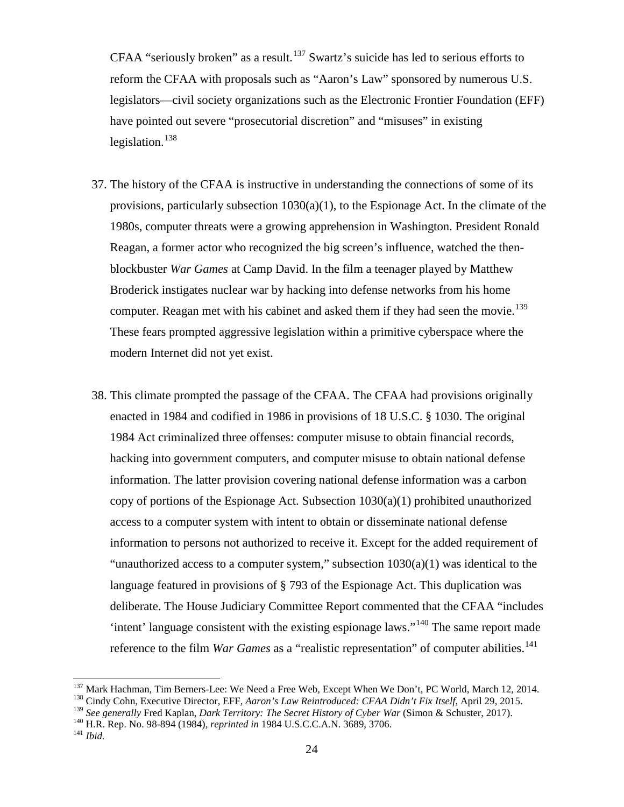CFAA "seriously broken" as a result.<sup>[137](#page-23-0)</sup> Swartz's suicide has led to serious efforts to reform the CFAA with proposals such as "Aaron's Law" sponsored by numerous U.S. legislators—civil society organizations such as the Electronic Frontier Foundation (EFF) have pointed out severe "prosecutorial discretion" and "misuses" in existing legislation. $138$ 

- 37. The history of the CFAA is instructive in understanding the connections of some of its provisions, particularly subsection  $1030(a)(1)$ , to the Espionage Act. In the climate of the 1980s, computer threats were a growing apprehension in Washington. President Ronald Reagan, a former actor who recognized the big screen's influence, watched the thenblockbuster *War Games* at Camp David. In the film a teenager played by Matthew Broderick instigates nuclear war by hacking into defense networks from his home computer. Reagan met with his cabinet and asked them if they had seen the movie.<sup>[139](#page-23-2)</sup> These fears prompted aggressive legislation within a primitive cyberspace where the modern Internet did not yet exist.
- 38. This climate prompted the passage of the CFAA. The CFAA had provisions originally enacted in 1984 and codified in 1986 in provisions of 18 U.S.C. § 1030. The original 1984 Act criminalized three offenses: computer misuse to obtain financial records, hacking into government computers, and computer misuse to obtain national defense information. The latter provision covering national defense information was a carbon copy of portions of the Espionage Act. Subsection  $1030(a)(1)$  prohibited unauthorized access to a computer system with intent to obtain or disseminate national defense information to persons not authorized to receive it. Except for the added requirement of "unauthorized access to a computer system," subsection  $1030(a)(1)$  was identical to the language featured in provisions of § 793 of the Espionage Act. This duplication was deliberate. The House Judiciary Committee Report commented that the CFAA "includes 'intent' language consistent with the existing espionage laws."<sup>[140](#page-23-3)</sup> The same report made reference to the film *War Games* as a "realistic representation" of computer abilities.<sup>[141](#page-23-4)</sup>

<span id="page-23-0"></span><sup>&</sup>lt;sup>137</sup> Mark Hachman, Tim Berners-Lee: We Need a Free Web, Except When We Don't, PC World, March 12, 2014.<br><sup>138</sup> Cindy Cohn, Executive Director, EFF, *Aaron's Law Reintroduced: CFAA Didn't Fix Itself*, April 29, 2015.

<span id="page-23-2"></span><span id="page-23-1"></span><sup>&</sup>lt;sup>139</sup> *See generally Fred Kaplan, Dark Territory: The Secret History of Cyber War* (Simon & Schuster, 2017).<br><sup>140</sup> H.R. Rep. No. 98-894 (1984), *reprinted in* 1984 U.S.C.C.A.N. 3689, 3706.<br><sup>141</sup> *Ibid.* 

<span id="page-23-3"></span>

<span id="page-23-4"></span>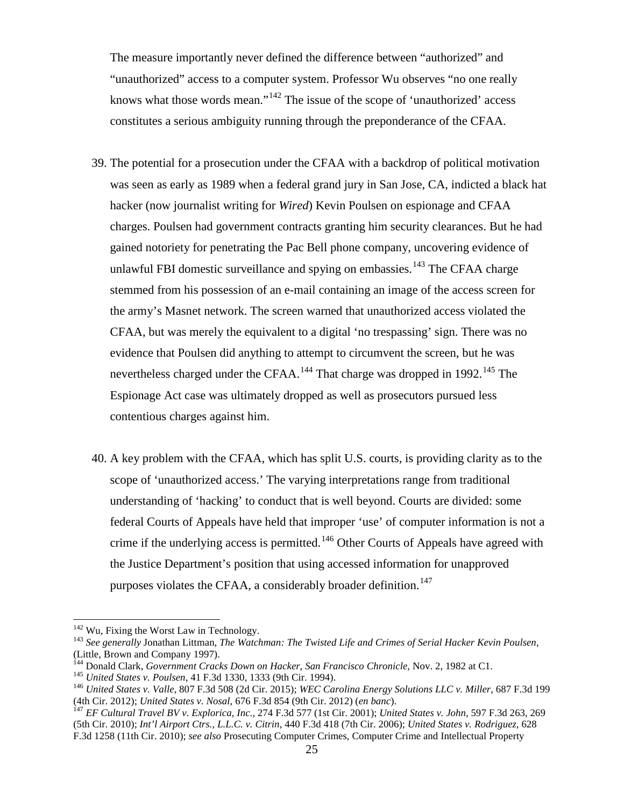The measure importantly never defined the difference between "authorized" and "unauthorized" access to a computer system. Professor Wu observes "no one really knows what those words mean."[142](#page-24-0) The issue of the scope of 'unauthorized' access constitutes a serious ambiguity running through the preponderance of the CFAA.

- 39. The potential for a prosecution under the CFAA with a backdrop of political motivation was seen as early as 1989 when a federal grand jury in San Jose, CA, indicted a black hat hacker (now journalist writing for *Wired*) Kevin Poulsen on espionage and CFAA charges. Poulsen had government contracts granting him security clearances. But he had gained notoriety for penetrating the Pac Bell phone company, uncovering evidence of unlawful FBI domestic surveillance and spying on embassies.<sup>[143](#page-24-1)</sup> The CFAA charge stemmed from his possession of an e-mail containing an image of the access screen for the army's Masnet network. The screen warned that unauthorized access violated the CFAA, but was merely the equivalent to a digital 'no trespassing' sign. There was no evidence that Poulsen did anything to attempt to circumvent the screen, but he was nevertheless charged under the CFAA.<sup>[144](#page-24-2)</sup> That charge was dropped in 1992.<sup>[145](#page-24-3)</sup> The Espionage Act case was ultimately dropped as well as prosecutors pursued less contentious charges against him.
- 40. A key problem with the CFAA, which has split U.S. courts, is providing clarity as to the scope of 'unauthorized access.' The varying interpretations range from traditional understanding of 'hacking' to conduct that is well beyond. Courts are divided: some federal Courts of Appeals have held that improper 'use' of computer information is not a crime if the underlying access is permitted.<sup>[146](#page-24-4)</sup> Other Courts of Appeals have agreed with the Justice Department's position that using accessed information for unapproved purposes violates the CFAA, a considerably broader definition.<sup>[147](#page-24-5)</sup>

<span id="page-24-1"></span><span id="page-24-0"></span><sup>&</sup>lt;sup>142</sup> Wu, Fixing the Worst Law in Technology.<br><sup>143</sup> See generally Jonathan Littman, *The Watchman: The Twisted Life and Crimes of Serial Hacker Kevin Poulsen*, (Little, Brown and Company 1997).<br><sup>144</sup> Donald Clark, *Government Cracks Down on Hacker*, *San Francisco Chronicle*, Nov. 2, 1982 at C1.

<span id="page-24-4"></span><span id="page-24-3"></span><span id="page-24-2"></span><sup>&</sup>lt;sup>145</sup> United States v. Poulsen, 41 F.3d 1330, 1333 (9th Cir. 1994).<br><sup>146</sup> United States v. Valle, 807 F.3d 508 (2d Cir. 2015); WEC Carolina Energy Solutions LLC v. Miller, 687 F.3d 199 (4th Cir. 2012); United States v. Nosal, 676 F.3d 854 (9th Cir. 2012) (en banc).<br><sup>147</sup> EF Cultural Travel BV v. Explorica, Inc., 274 F.3d 577 (1st Cir. 2001); United States v. John, 597 F.3d 263, 269

<span id="page-24-5"></span><sup>(5</sup>th Cir. 2010); *Int'l Airport Ctrs., L.L.C. v. Citrin*, 440 F.3d 418 (7th Cir. 2006); *United States v. Rodriguez*, 628 F.3d 1258 (11th Cir. 2010); *see also* Prosecuting Computer Crimes, Computer Crime and Intellectual Property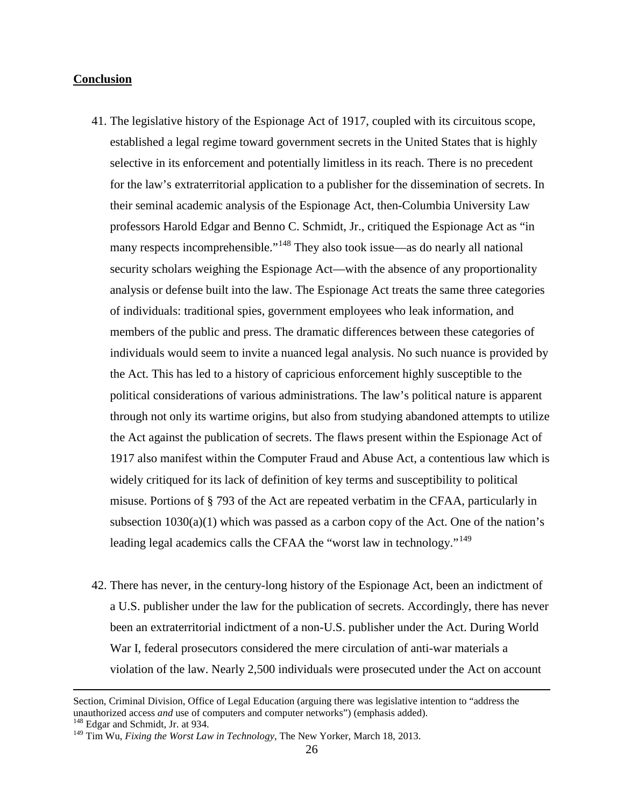#### **Conclusion**

- 41. The legislative history of the Espionage Act of 1917, coupled with its circuitous scope, established a legal regime toward government secrets in the United States that is highly selective in its enforcement and potentially limitless in its reach. There is no precedent for the law's extraterritorial application to a publisher for the dissemination of secrets. In their seminal academic analysis of the Espionage Act, then-Columbia University Law professors Harold Edgar and Benno C. Schmidt, Jr., critiqued the Espionage Act as "in many respects incomprehensible."<sup>[148](#page-25-0)</sup> They also took issue—as do nearly all national security scholars weighing the Espionage Act—with the absence of any proportionality analysis or defense built into the law. The Espionage Act treats the same three categories of individuals: traditional spies, government employees who leak information, and members of the public and press. The dramatic differences between these categories of individuals would seem to invite a nuanced legal analysis. No such nuance is provided by the Act. This has led to a history of capricious enforcement highly susceptible to the political considerations of various administrations. The law's political nature is apparent through not only its wartime origins, but also from studying abandoned attempts to utilize the Act against the publication of secrets. The flaws present within the Espionage Act of 1917 also manifest within the Computer Fraud and Abuse Act, a contentious law which is widely critiqued for its lack of definition of key terms and susceptibility to political misuse. Portions of § 793 of the Act are repeated verbatim in the CFAA, particularly in subsection  $1030(a)(1)$  which was passed as a carbon copy of the Act. One of the nation's leading legal academics calls the CFAA the "worst law in technology."<sup>[149](#page-25-1)</sup>
- 42. There has never, in the century-long history of the Espionage Act, been an indictment of a U.S. publisher under the law for the publication of secrets. Accordingly, there has never been an extraterritorial indictment of a non-U.S. publisher under the Act. During World War I, federal prosecutors considered the mere circulation of anti-war materials a violation of the law. Nearly 2,500 individuals were prosecuted under the Act on account

 $\overline{\phantom{a}}$ 

Section, Criminal Division, Office of Legal Education (arguing there was legislative intention to "address the unauthorized access *and* use of computers and computer networks") (emphasis added). <sup>148</sup> Edgar and Schmidt, Jr. at 934.

<span id="page-25-0"></span>

<span id="page-25-1"></span><sup>149</sup> Tim Wu, *Fixing the Worst Law in Technology*, The New Yorker, March 18, 2013.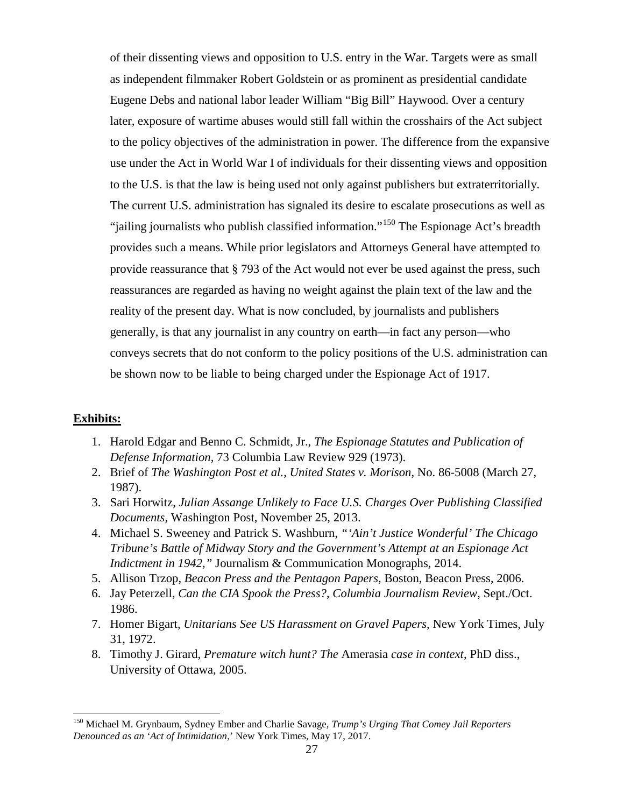of their dissenting views and opposition to U.S. entry in the War. Targets were as small as independent filmmaker Robert Goldstein or as prominent as presidential candidate Eugene Debs and national labor leader William "Big Bill" Haywood. Over a century later, exposure of wartime abuses would still fall within the crosshairs of the Act subject to the policy objectives of the administration in power. The difference from the expansive use under the Act in World War I of individuals for their dissenting views and opposition to the U.S. is that the law is being used not only against publishers but extraterritorially. The current U.S. administration has signaled its desire to escalate prosecutions as well as "jailing journalists who publish classified information."[150](#page-26-0) The Espionage Act's breadth provides such a means. While prior legislators and Attorneys General have attempted to provide reassurance that § 793 of the Act would not ever be used against the press, such reassurances are regarded as having no weight against the plain text of the law and the reality of the present day. What is now concluded, by journalists and publishers generally, is that any journalist in any country on earth—in fact any person—who conveys secrets that do not conform to the policy positions of the U.S. administration can be shown now to be liable to being charged under the Espionage Act of 1917.

## **Exhibits:**

- 1. Harold Edgar and Benno C. Schmidt, Jr., *The Espionage Statutes and Publication of Defense Information*, 73 Columbia Law Review 929 (1973).
- 2. Brief of *The Washington Post et al.*, *United States v. Morison*, No. 86-5008 (March 27, 1987).
- 3. Sari Horwitz, *Julian Assange Unlikely to Face U.S. Charges Over Publishing Classified Documents*, Washington Post, November 25, 2013.
- 4. Michael S. Sweeney and Patrick S. Washburn, *"'Ain't Justice Wonderful' The Chicago Tribune's Battle of Midway Story and the Government's Attempt at an Espionage Act Indictment in 1942,"* Journalism & Communication Monographs, 2014.
- 5. Allison Trzop, *Beacon Press and the Pentagon Papers*, Boston, Beacon Press, 2006.
- 6. Jay Peterzell, *Can the CIA Spook the Press?*, *Columbia Journalism Review*, Sept./Oct. 1986.
- 7. Homer Bigart, *Unitarians See US Harassment on Gravel Papers*, New York Times, July 31, 1972.
- 8. Timothy J. Girard, *Premature witch hunt? The* Amerasia *case in context*, PhD diss., University of Ottawa, 2005.

<span id="page-26-0"></span><sup>150</sup> Michael M. Grynbaum, Sydney Ember and Charlie Savage, *Trump's Urging That Comey Jail Reporters Denounced as an 'Act of Intimidation*,' New York Times, May 17, 2017.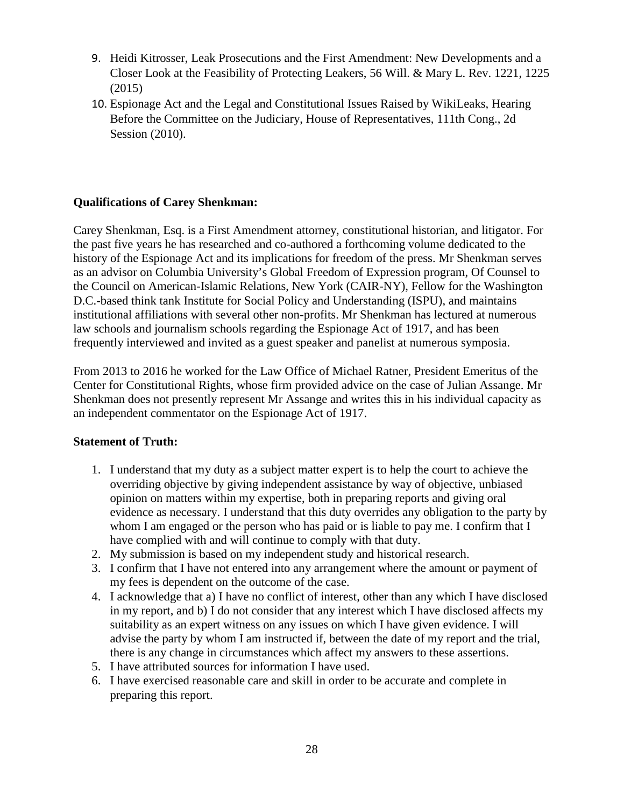- 9. Heidi Kitrosser, Leak Prosecutions and the First Amendment: New Developments and a Closer Look at the Feasibility of Protecting Leakers, 56 Will. & Mary L. Rev. 1221, 1225 (2015)
- 10. Espionage Act and the Legal and Constitutional Issues Raised by WikiLeaks, Hearing Before the Committee on the Judiciary, House of Representatives, 111th Cong., 2d Session (2010).

# **Qualifications of Carey Shenkman:**

Carey Shenkman, Esq. is a First Amendment attorney, constitutional historian, and litigator. For the past five years he has researched and co-authored a forthcoming volume dedicated to the history of the Espionage Act and its implications for freedom of the press. Mr Shenkman serves as an advisor on Columbia University's Global Freedom of Expression program, Of Counsel to the Council on American-Islamic Relations, New York (CAIR-NY), Fellow for the Washington D.C.-based think tank Institute for Social Policy and Understanding (ISPU), and maintains institutional affiliations with several other non-profits. Mr Shenkman has lectured at numerous law schools and journalism schools regarding the Espionage Act of 1917, and has been frequently interviewed and invited as a guest speaker and panelist at numerous symposia.

From 2013 to 2016 he worked for the Law Office of Michael Ratner, President Emeritus of the Center for Constitutional Rights, whose firm provided advice on the case of Julian Assange. Mr Shenkman does not presently represent Mr Assange and writes this in his individual capacity as an independent commentator on the Espionage Act of 1917.

## **Statement of Truth:**

- 1. I understand that my duty as a subject matter expert is to help the court to achieve the overriding objective by giving independent assistance by way of objective, unbiased opinion on matters within my expertise, both in preparing reports and giving oral evidence as necessary. I understand that this duty overrides any obligation to the party by whom I am engaged or the person who has paid or is liable to pay me. I confirm that I have complied with and will continue to comply with that duty.
- 2. My submission is based on my independent study and historical research.
- 3. I confirm that I have not entered into any arrangement where the amount or payment of my fees is dependent on the outcome of the case.
- 4. I acknowledge that a) I have no conflict of interest, other than any which I have disclosed in my report, and b) I do not consider that any interest which I have disclosed affects my suitability as an expert witness on any issues on which I have given evidence. I will advise the party by whom I am instructed if, between the date of my report and the trial, there is any change in circumstances which affect my answers to these assertions.
- 5. I have attributed sources for information I have used.
- 6. I have exercised reasonable care and skill in order to be accurate and complete in preparing this report.